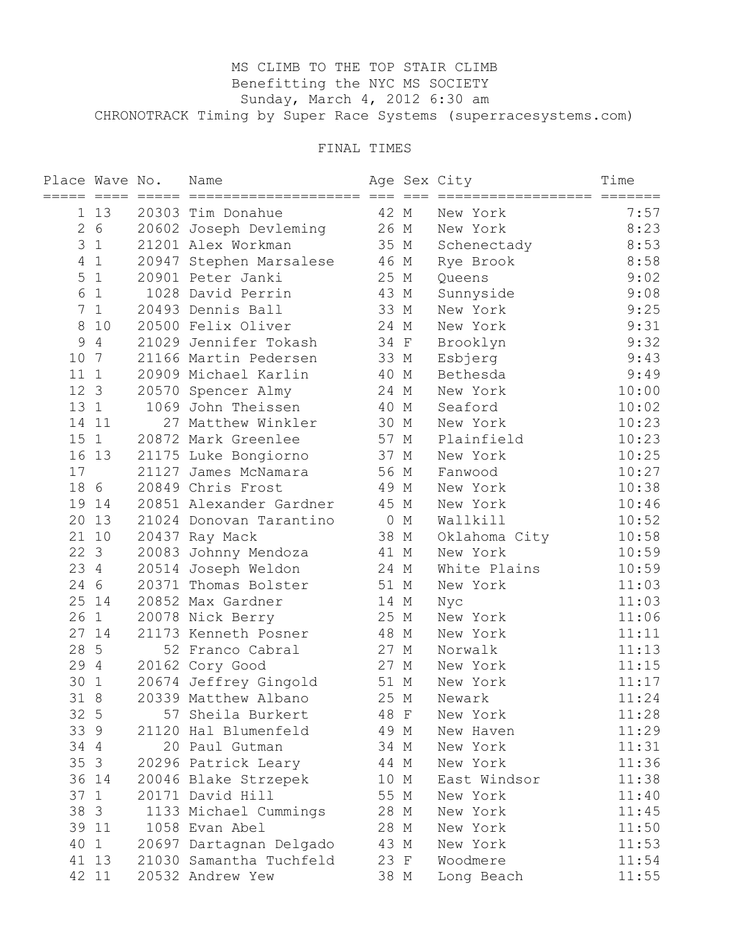## MS CLIMB TO THE TOP STAIR CLIMB Benefitting the NYC MS SOCIETY Sunday, March 4, 2012 6:30 am CHRONOTRACK Timing by Super Race Systems (superracesystems.com)

## FINAL TIMES

| Place Wave No.  |                | Name                    |         |   | Age Sex City  | Time  |
|-----------------|----------------|-------------------------|---------|---|---------------|-------|
|                 | 1 13           | 20303 Tim Donahue       | 42 M    |   | New York      | 7:57  |
| $\mathbf{2}$    | 6              | 20602 Joseph Devleming  | 26 M    |   | New York      | 8:23  |
| 3               | $\mathbf{1}$   | 21201 Alex Workman      | 35 M    |   | Schenectady   | 8:53  |
| 4               | $\mathbf{1}$   | 20947 Stephen Marsalese | 46 M    |   | Rye Brook     | 8:58  |
| 5               | $\mathbf{1}$   | 20901 Peter Janki       | 25 M    |   | Queens        | 9:02  |
| 6               | $\mathbf{1}$   | 1028 David Perrin       | 43 M    |   | Sunnyside     | 9:08  |
| 7               | 1              | 20493 Dennis Ball       | 33 M    |   | New York      | 9:25  |
| 8               | 10             | 20500 Felix Oliver      | 24 M    |   | New York      | 9:31  |
| 9               | $\overline{4}$ | 21029 Jennifer Tokash   | 34 F    |   | Brooklyn      | 9:32  |
| 10              | 7              | 21166 Martin Pedersen   | 33 M    |   | Esbjerg       | 9:43  |
| 111             |                | 20909 Michael Karlin    | 40 M    |   | Bethesda      | 9:49  |
| 12 3            |                | 20570 Spencer Almy      | 24 M    |   | New York      | 10:00 |
| 13 1            |                | 1069 John Theissen      | 40 M    |   | Seaford       | 10:02 |
|                 | 14 11          | 27 Matthew Winkler      | 30 M    |   | New York      | 10:23 |
| 15 <sub>1</sub> |                | 20872 Mark Greenlee     | 57 M    |   | Plainfield    | 10:23 |
|                 | 16 13          | 21175 Luke Bongiorno    | 37 M    |   | New York      | 10:25 |
| 17              |                | 21127 James McNamara    | 56 M    |   | Fanwood       | 10:27 |
| 18              | 6              | 20849 Chris Frost       | 49 M    |   | New York      | 10:38 |
| 19              | 14             | 20851 Alexander Gardner | 45 M    |   | New York      | 10:46 |
| 20              | 13             | 21024 Donovan Tarantino | $\circ$ | М | Wallkill      | 10:52 |
|                 | 21 10          | 20437 Ray Mack          | 38 M    |   | Oklahoma City | 10:58 |
| 22 3            |                | 20083 Johnny Mendoza    | 41 M    |   | New York      | 10:59 |
| 23 4            |                | 20514 Joseph Weldon     | 24 M    |   | White Plains  | 10:59 |
| 24              | 6              | 20371 Thomas Bolster    | 51 M    |   | New York      | 11:03 |
| 25              | 14             | 20852 Max Gardner       | 14 M    |   | Nyc           | 11:03 |
| 26              | $\mathbf{1}$   | 20078 Nick Berry        | 25 M    |   | New York      | 11:06 |
|                 | 27 14          | 21173 Kenneth Posner    | 48 M    |   | New York      | 11:11 |
| 28              | 5              | 52 Franco Cabral        | 27 M    |   | Norwalk       | 11:13 |
| 29 4            |                | 20162 Cory Good         | 27 M    |   | New York      | 11:15 |
| 30              | 1              | 20674 Jeffrey Gingold   | 51 M    |   | New York      | 11:17 |
| 31 8            |                | 20339 Matthew Albano    | 25 M    |   | Newark        | 11:24 |
| 32 5            |                | 57 Sheila Burkert       | 48 F    |   | New York      | 11:28 |
| 33 9            |                | 21120 Hal Blumenfeld    | 49 M    |   | New Haven     | 11:29 |
| 34 4            |                | 20 Paul Gutman          | 34 M    |   | New York      | 11:31 |
| 35 <sub>3</sub> |                | 20296 Patrick Leary     | 44 M    |   | New York      | 11:36 |
|                 | 36 14          | 20046 Blake Strzepek    | 10 M    |   | East Windsor  | 11:38 |
| 37 1            |                | 20171 David Hill        | 55 M    |   | New York      | 11:40 |
| 38              | $\overline{3}$ | 1133 Michael Cummings   | 28 M    |   | New York      | 11:45 |
| 39              | 11             | 1058 Evan Abel          | 28 M    |   | New York      | 11:50 |
| 40              | 1              | 20697 Dartagnan Delgado | 43 M    |   | New York      | 11:53 |
| 41              | 13             | 21030 Samantha Tuchfeld | 23 F    |   | Woodmere      | 11:54 |
|                 | 42 11          | 20532 Andrew Yew        | 38 M    |   | Long Beach    | 11:55 |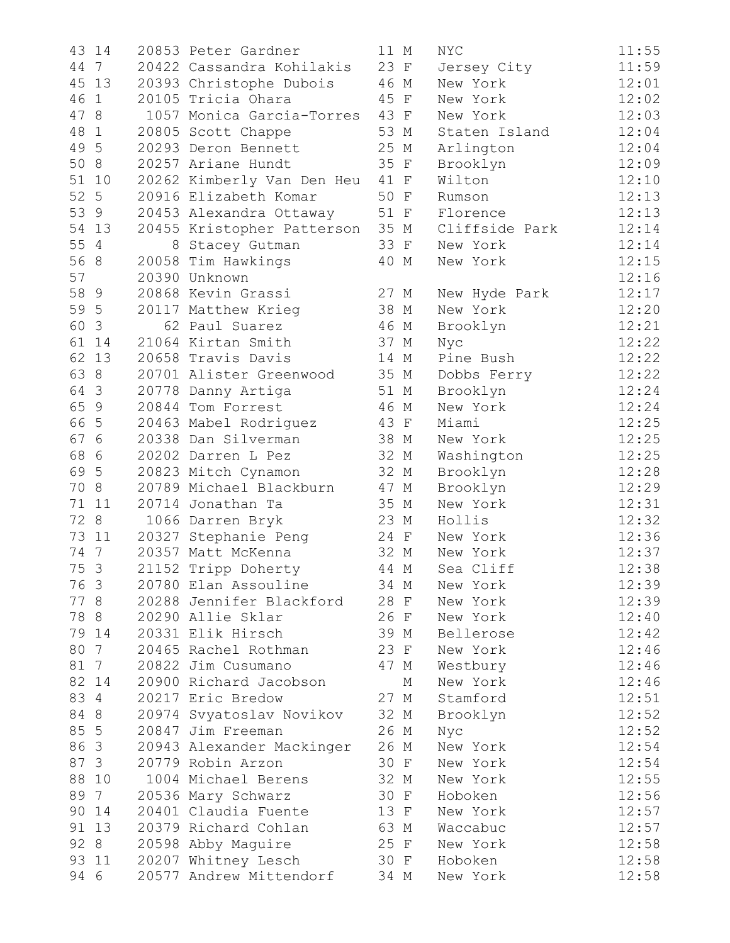| 43   | 14              | 20853 Peter Gardner        | 11 M |   | <b>NYC</b>     | 11:55 |
|------|-----------------|----------------------------|------|---|----------------|-------|
|      | 44 7            | 20422 Cassandra Kohilakis  | 23 F |   | Jersey City    | 11:59 |
|      | 45 13           | 20393 Christophe Dubois    | 46 M |   | New York       | 12:01 |
|      | 46 1            | 20105 Tricia Ohara         | 45 F |   | New York       | 12:02 |
| 47 8 |                 | 1057 Monica Garcia-Torres  | 43 F |   | New York       | 12:03 |
| 48   | 1               | 20805 Scott Chappe         | 53 M |   | Staten Island  | 12:04 |
| 49 5 |                 | 20293 Deron Bennett        | 25 M |   | Arlington      | 12:04 |
| 50 8 |                 | 20257 Ariane Hundt         | 35 F |   | Brooklyn       | 12:09 |
|      | 51 10           | 20262 Kimberly Van Den Heu | 41 F |   | Wilton         | 12:10 |
| 52 5 |                 | 20916 Elizabeth Komar      | 50 F |   | Rumson         | 12:13 |
|      | 53 9            | 20453 Alexandra Ottaway    | 51 F |   | Florence       | 12:13 |
|      | 54 13           | 20455 Kristopher Patterson | 35 M |   | Cliffside Park | 12:14 |
| 55 4 |                 | 8 Stacey Gutman            | 33 F |   | New York       | 12:14 |
| 56 8 |                 | 20058 Tim Hawkings         | 40 M |   | New York       | 12:15 |
| 57   |                 | 20390 Unknown              |      |   |                | 12:16 |
| 58 9 |                 | 20868 Kevin Grassi         | 27 M |   | New Hyde Park  | 12:17 |
| 59 5 |                 | 20117 Matthew Krieg        | 38 M |   | New York       | 12:20 |
| 60 3 |                 | 62 Paul Suarez             | 46 M |   | Brooklyn       | 12:21 |
|      | 61 14           | 21064 Kirtan Smith         | 37 M |   | Nyc            | 12:22 |
|      | 62 13           | 20658 Travis Davis         | 14 M |   | Pine Bush      | 12:22 |
| 63 8 |                 | 20701 Alister Greenwood    | 35 M |   | Dobbs Ferry    | 12:22 |
| 64 3 |                 | 20778 Danny Artiga         | 51 M |   | Brooklyn       | 12:24 |
| 65 9 |                 | 20844 Tom Forrest          | 46 M |   | New York       | 12:24 |
| 66 5 |                 | 20463 Mabel Rodriguez      | 43 F |   | Miami          | 12:25 |
| 67 6 |                 | 20338 Dan Silverman        | 38 M |   | New York       | 12:25 |
| 68 6 |                 | 20202 Darren L Pez         | 32 M |   | Washington     | 12:25 |
| 69 5 |                 | 20823 Mitch Cynamon        | 32 M |   | Brooklyn       | 12:28 |
| 70 8 |                 | 20789 Michael Blackburn    | 47 M |   | Brooklyn       | 12:29 |
|      | 71 11           | 20714 Jonathan Ta          | 35 M |   | New York       | 12:31 |
|      | 72 8            | 1066 Darren Bryk           | 23 M |   | Hollis         | 12:32 |
|      | 73 11           | 20327 Stephanie Peng       | 24 F |   | New York       | 12:36 |
| 74 7 |                 | 20357 Matt McKenna         | 32 M |   | New York       | 12:37 |
| 75 3 |                 | 21152 Tripp Doherty        | 44 M |   | Sea Cliff      | 12:38 |
| 76 3 |                 | 20780 Elan Assouline       | 34 M |   | New York       | 12:39 |
| 77 8 |                 | 20288 Jennifer Blackford   | 28 F |   | New York       | 12:39 |
| 78 8 |                 | 20290 Allie Sklar          | 26 F |   | New York       | 12:40 |
|      | 79 14           | 20331 Elik Hirsch          | 39 M |   | Bellerose      | 12:42 |
| 80   | $7\phantom{.0}$ | 20465 Rachel Rothman       | 23 F |   | New York       | 12:46 |
| 81 7 |                 | 20822 Jim Cusumano         | 47 M |   | Westbury       | 12:46 |
|      | 82 14           | 20900 Richard Jacobson     |      | М | New York       | 12:46 |
| 83 4 |                 | 20217 Eric Bredow          | 27 M |   | Stamford       | 12:51 |
| 84 8 |                 | 20974 Svyatoslav Novikov   | 32 M |   | Brooklyn       | 12:52 |
| 85 5 |                 | 20847 Jim Freeman          | 26 M |   | Nyc            | 12:52 |
|      | 86 3            | 20943 Alexander Mackinger  | 26 M |   | New York       | 12:54 |
| 87 3 |                 | 20779 Robin Arzon          | 30 F |   | New York       | 12:54 |
|      | 88 10           | 1004 Michael Berens        | 32 M |   | New York       | 12:55 |
| 89   | $7\overline{ }$ | 20536 Mary Schwarz         | 30 F |   | Hoboken        | 12:56 |
| 90   | 14              | 20401 Claudia Fuente       | 13 F |   | New York       | 12:57 |
| 91   | 13              | 20379 Richard Cohlan       | 63 M |   | Waccabuc       | 12:57 |
|      | 92 8            | 20598 Abby Maguire         | 25 F |   | New York       | 12:58 |
| 93   | 11              | 20207 Whitney Lesch        | 30 F |   | Hoboken        | 12:58 |
| 94 6 |                 | 20577 Andrew Mittendorf    | 34 M |   | New York       | 12:58 |
|      |                 |                            |      |   |                |       |

| 1              | М                         | NYC            | 11:55 |
|----------------|---------------------------|----------------|-------|
| 3              | $_{\rm F}$                | Jersey City    | 11:59 |
| 6              | М                         | New York       | 12:01 |
| 5              | $\mathbf F$               | New York       | 12:02 |
| 3              | $\mathbf F$               | New York       | 12:03 |
| 3              | М                         | Staten Island  | 12:04 |
| 5              | М                         | Arlington      | 12:04 |
| 5              | $\mathbf F$               | Brooklyn       | 12:09 |
| 1              | $\mathbf F$               | Wilton         | 12:10 |
| 0              | $\mathbf F$               | Rumson         | 12:13 |
| 1              | $\mathbf F$               | Florence       | 12:13 |
| 5              | $\mathbf M$               | Cliffside Park | 12:14 |
| 3              | $\mathbf F$               | New York       | 12:14 |
| 0              | М                         | New York       | 12:15 |
|                |                           |                | 12:16 |
| 7              | М                         | New Hyde Park  | 12:17 |
| 8              | М                         | New York       | 12:20 |
| 6              | М                         | Brooklyn       | 12:21 |
| 7              | $\mathbb M$               | Nyc            | 12:22 |
| 4              | М                         | Pine Bush      | 12:22 |
| 5              | М                         | Dobbs Ferry    | 12:22 |
| $\mathbf 1$    | М                         | Brooklyn       | 12:24 |
| 6              | $\mathbf M$               | New York       | 12:24 |
| 3              | $\mathbf F$               | Miami          | 12:25 |
| 8              | М                         | New York       | 12:25 |
| $\overline{2}$ | М                         | Washington     | 12:25 |
| $\mathbf{Z}$   | М                         | Brooklyn       | 12:28 |
| 7              | $\mathop{\rm M}\nolimits$ | Brooklyn       | 12:29 |
| 5              | $\mathop{\rm M}\nolimits$ | New York       | 12:31 |
| 3              | М                         | Hollis         | 12:32 |
| 4              | $\mathbf F$               | New York       | 12:36 |
| $\mathbf{2}$   | М                         | New York       | 12:37 |
| 4              | М                         | Cliff<br>Sea   | 12:38 |
| 4              | Μ                         | York<br>New    | 12:39 |
| 8              | $\mathbb F$               | New York       | 12:39 |
| 6              | F                         | New York       | 12:40 |
| 9              | Μ                         | Bellerose      | 12:42 |
| 3              | $\mathbb F$               | New York       | 12:46 |
| 7              | М                         | Westbury       | 12:46 |
|                | $\mathop{\rm M}\nolimits$ | New York       | 12:46 |
| 7              | М                         | Stamford       | 12:51 |
| $\overline{c}$ | М                         | Brooklyn       | 12:52 |
| 6              | М                         | Nyc            | 12:52 |
| 6              | Μ                         | New York       | 12:54 |
| 0              | $\mathbf F$               | New York       | 12:54 |
| $\overline{c}$ | М                         | New York       | 12:55 |
| 0              | $\mathbf F$               | Hoboken        | 12:56 |
| 3              | $\boldsymbol{\mathrm{F}}$ | New York       | 12:57 |
| 3              |                           | Waccabuc       | 12:57 |
| 5              | М<br>$_{\rm F}$           | New York       | 12:58 |
| 0              | F                         | Hoboken        | 12:58 |
| 4              | М                         | New York       | 12:58 |
|                |                           |                |       |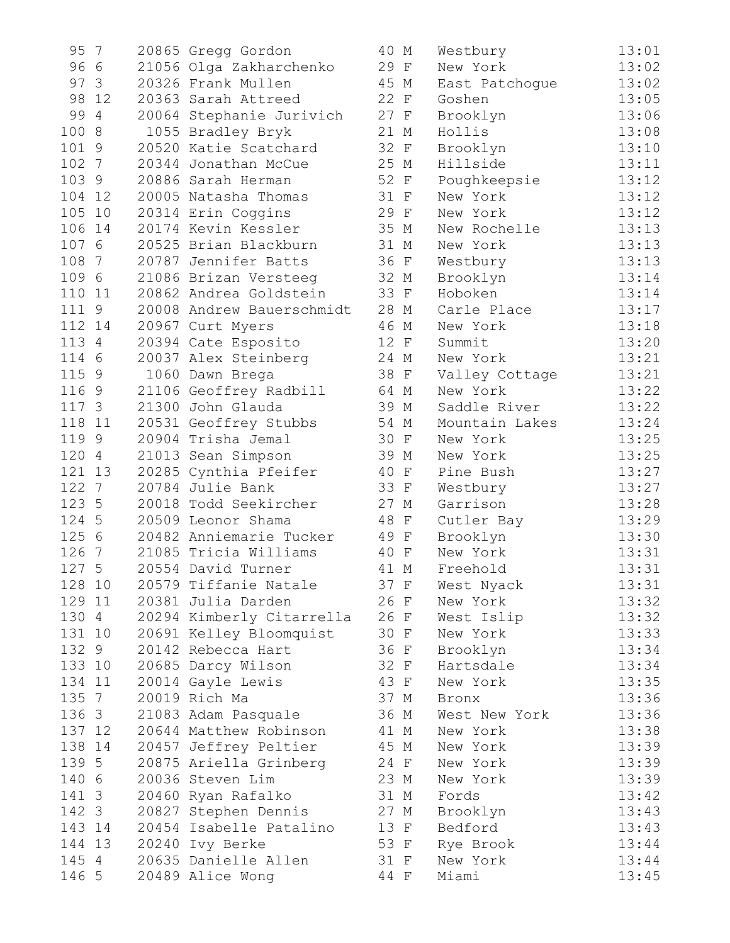| 95     | $\overline{7}$ | 20865 Gregg Gordon        | 40 M | Westbury       | 13:01 |
|--------|----------------|---------------------------|------|----------------|-------|
| 96 6   |                | 21056 Olga Zakharchenko   | 29 F | New York       | 13:02 |
|        | 97 3           | 20326 Frank Mullen        | 45 M | East Patchogue | 13:02 |
|        | 98 12          | 20363 Sarah Attreed       | 22 F | Goshen         | 13:05 |
| 99     | 4              | 20064 Stephanie Jurivich  | 27 F | Brooklyn       | 13:06 |
| 100    | 8              | 1055 Bradley Bryk         | 21 M | Hollis         | 13:08 |
| 101 9  |                | 20520 Katie Scatchard     | 32 F | Brooklyn       | 13:10 |
| 102 7  |                | 20344 Jonathan McCue      | 25 M | Hillside       | 13:11 |
| 103 9  |                | 20886 Sarah Herman        | 52 F | Poughkeepsie   | 13:12 |
|        | 104 12         | 20005 Natasha Thomas      | 31 F | New York       | 13:12 |
| 105    | 10             | 20314 Erin Coggins        | 29 F | New York       | 13:12 |
| 106 14 |                | 20174 Kevin Kessler       | 35 M | New Rochelle   | 13:13 |
| 107 6  |                | 20525 Brian Blackburn     | 31 M | New York       | 13:13 |
| 108    | 7              | 20787 Jennifer Batts      | 36 F | Westbury       | 13:13 |
| 109 6  |                | 21086 Brizan Versteeg     | 32 M | Brooklyn       | 13:14 |
| 110 11 |                | 20862 Andrea Goldstein    | 33 F | Hoboken        | 13:14 |
| 111 9  |                | 20008 Andrew Bauerschmidt | 28 M | Carle Place    | 13:17 |
| 112 14 |                | 20967 Curt Myers          | 46 M | New York       | 13:18 |
| 113 4  |                | 20394 Cate Esposito       | 12 F | Summit         | 13:20 |
| 114 6  |                | 20037 Alex Steinberg      | 24 M | New York       | 13:21 |
| 115 9  |                | 1060 Dawn Brega           | 38 F | Valley Cottage | 13:21 |
| 116 9  |                | 21106 Geoffrey Radbill    | 64 M | New York       | 13:22 |
| 117 3  |                | 21300 John Glauda         | 39 M | Saddle River   | 13:22 |
| 118 11 |                | 20531 Geoffrey Stubbs     | 54 M | Mountain Lakes | 13:24 |
| 119 9  |                | 20904 Trisha Jemal        | 30 F | New York       | 13:25 |
| 120 4  |                | 21013 Sean Simpson        | 39 M | New York       | 13:25 |
| 121 13 |                | 20285 Cynthia Pfeifer     | 40 F | Pine Bush      | 13:27 |
| 122 7  |                | 20784 Julie Bank          | 33 F | Westbury       | 13:27 |
| 123 5  |                | 20018 Todd Seekircher     | 27 M | Garrison       | 13:28 |
| 124 5  |                | 20509 Leonor Shama        | 48 F | Cutler Bay     | 13:29 |
| 125 6  |                | 20482 Anniemarie Tucker   | 49 F | Brooklyn       | 13:30 |
| 126    | - 7            | 21085 Tricia Williams     | 40 F | New York       | 13:31 |
| 127 5  |                | 20554 David Turner        | 41 M | Freehold       | 13:31 |
| 128 10 |                | 20579 Tiffanie Natale     | 37 F | West Nyack     | 13:31 |
| 129 11 |                | 20381 Julia Darden        | 26 F | New York       | 13:32 |
| 130 4  |                | 20294 Kimberly Citarrella | 26 F | West Islip     | 13:32 |
|        | 131 10         | 20691 Kelley Bloomquist   | 30 F | New York       | 13:33 |
| 132 9  |                | 20142 Rebecca Hart        | 36 F | Brooklyn       | 13:34 |
| 133 10 |                | 20685 Darcy Wilson        | 32 F | Hartsdale      | 13:34 |
| 134 11 |                | 20014 Gayle Lewis         | 43 F | New York       | 13:35 |
| 135 7  |                | 20019 Rich Ma             | 37 M | Bronx          | 13:36 |
|        | 136 3          | 21083 Adam Pasquale       | 36 M | West New York  | 13:36 |
|        | 137 12         | 20644 Matthew Robinson    | 41 M | New York       | 13:38 |
|        | 138 14         | 20457 Jeffrey Peltier     | 45 M | New York       | 13:39 |
|        | 139 5          | 20875 Ariella Grinberg    | 24 F | New York       | 13:39 |
| 140 6  |                | 20036 Steven Lim          | 23 M | New York       | 13:39 |
|        | 141 3          | 20460 Ryan Rafalko        | 31 M | Fords          | 13:42 |
|        | 142 3          | 20827 Stephen Dennis      | 27 M | Brooklyn       | 13:43 |
|        | 143 14         | 20454 Isabelle Patalino   | 13 F | Bedford        | 13:43 |
|        | 144 13         | 20240 Ivy Berke           | 53 F | Rye Brook      | 13:44 |
|        | 145 4          | 20635 Danielle Allen      | 31 F | New York       | 13:44 |
|        | 146 5          | 20489 Alice Wong          | 44 F | Miami          | 13:45 |
|        |                |                           |      |                |       |

| C                   | М           | Westbury              | 13:01 |
|---------------------|-------------|-----------------------|-------|
| $\mathfrak z$       | F           | New York              | 13:02 |
| $\bar{5}$           | М           | East Patchogue        | 13:02 |
| 2<br>7              | $\mathbf F$ | Goshen                | 13:05 |
|                     | F           | Brooklyn              | 13:06 |
| $\mathbf 1$         | М           | Hollis                | 13:08 |
|                     | $\mathbf F$ | Brooklyn              | 13:10 |
| $\frac{2}{5}$       | М           | Hillside              | 13:11 |
|                     | $\mathbf F$ | Poughkeepsie          | 13:12 |
| $\frac{2}{1}$       | $\mathbf F$ | New York              | 13:12 |
| 9                   | $\mathbf F$ | New York              | 13:12 |
| 5                   | М           | New Rochelle          | 13:13 |
| $\mathbf 1$         | М           | New York              | 13:13 |
| 6                   | $\mathbf F$ | Westbury              | 13:13 |
|                     | $\mathbb M$ | Brooklyn              | 13:14 |
| $\frac{2}{3}$       | $\mathbf F$ | Hoboken               | 13:14 |
| $\mathsf{B}$        | М           | Carle Place           | 13:17 |
| 6                   | М           | New York              | 13:18 |
| $\overline{c}$      | $\mathbf F$ | Summit                | 13:20 |
| 4                   | М           | New York              | 13:21 |
| 3                   | F           | Valley Cottage        | 13:21 |
| 4                   | $\mathbb M$ | New York              | 13:22 |
| 9                   | М           | Saddle River          | 13:22 |
| 4                   | М           | Mountain Lakes        | 13:24 |
| C                   | $\mathbf F$ | New York              | 13:25 |
| 9                   | М           | New York              | 13:25 |
| C                   | $\mathbf F$ | Pine Bush             | 13:27 |
| 3                   | F           | Westbury              | 13:27 |
| $\overline{7}$      | М           | Garrison              | 13:28 |
| $\mathsf{B}$        | $\rm F$     | Cutler Bay            | 13:29 |
| $\mathfrak z$       | $\mathbf F$ | Brooklyn              | 13:30 |
| C                   | $\mathbf F$ | New York              | 13:31 |
| $\overline{1}$      | Μ           | Freehold              | 13:31 |
| 7                   |             | West Nyack            | 13:31 |
| 6                   | F<br>F      | New York              | 13:32 |
| б                   | F           | West Islip            | 13:32 |
| J                   | F           | New York              | 13:33 |
| 6                   |             |                       | 13:34 |
|                     | F           | Brooklyn<br>Hartsdale | 13:34 |
| $\overline{c}$<br>3 | F           | New York              | 13:35 |
| $\overline{1}$      | F           |                       | 13:36 |
|                     | М           | Bronx                 | 13:36 |
| 6                   | М           | West New York         | 13:38 |
| $\mathbf 1$         | М           | New York              |       |
| $\bar{5}$           | М           | New York              | 13:39 |
| 4                   | $\mathbf F$ | New York              | 13:39 |
| 3                   | М           | New York              | 13:39 |
| $\mathbf 1$         | М           | Fords                 | 13:42 |
| 7                   | М           | Brooklyn              | 13:43 |
| 3                   | F           | Bedford               | 13:43 |
| 3                   | F           | Rye Brook             | 13:44 |
| $\mathbf 1$         | $\mathbf F$ | New York              | 13:44 |
| 4                   | F           | Miami                 | 13:45 |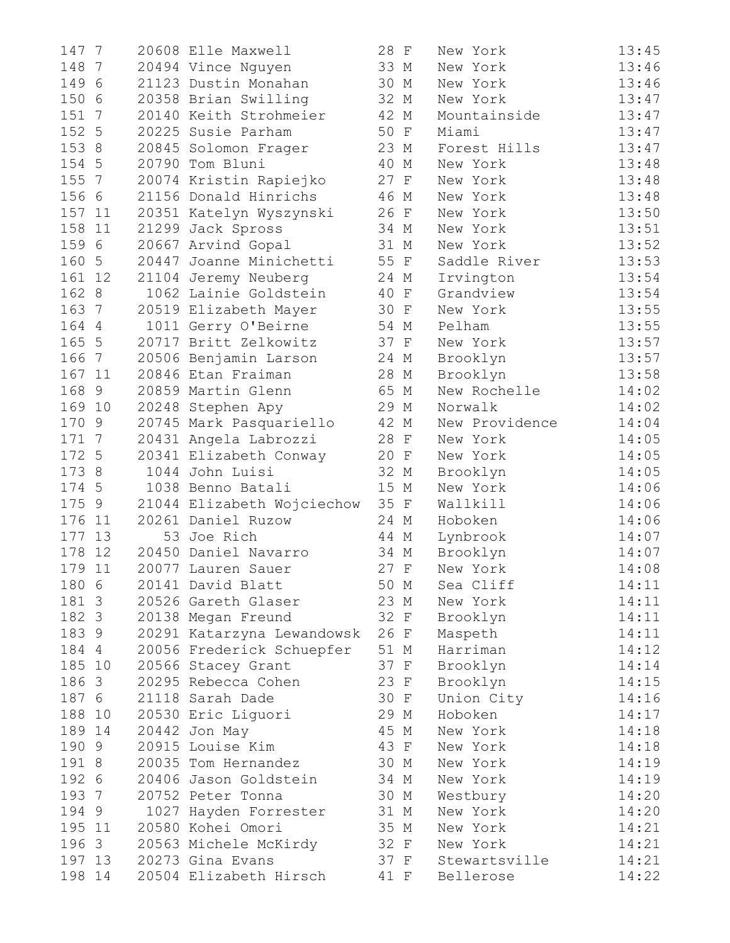| 147 7                  | 20608 Elle Maxwell         | 28 F | New York       | 13:45 |
|------------------------|----------------------------|------|----------------|-------|
| 148<br>- 7             | 20494 Vince Nguyen         | 33 M | New York       | 13:46 |
| 149 6                  | 21123 Dustin Monahan       | 30 M | New York       | 13:46 |
| 150 6                  | 20358 Brian Swilling       | 32 M | New York       | 13:47 |
| 151 7                  | 20140 Keith Strohmeier     | 42 M | Mountainside   | 13:47 |
| 152 5                  | 20225 Susie Parham         | 50 F | Miami          | 13:47 |
| 153 8                  | 20845 Solomon Frager       | 23 M | Forest Hills   | 13:47 |
| 154 5                  | 20790 Tom Bluni            | 40 M | New York       | 13:48 |
| 155<br>$7\phantom{.0}$ | 20074 Kristin Rapiejko     | 27 F | New York       | 13:48 |
| 156 6                  | 21156 Donald Hinrichs      | 46 M | New York       | 13:48 |
| 157 11                 | 20351 Katelyn Wyszynski    | 26 F | New York       | 13:50 |
| 158 11                 | 21299 Jack Spross          | 34 M | New York       | 13:51 |
| 159 6                  | 20667 Arvind Gopal         | 31 M | New York       | 13:52 |
| 160 5                  | 20447 Joanne Minichetti    | 55 F | Saddle River   | 13:53 |
| 161 12                 | 21104 Jeremy Neuberg       | 24 M | Irvington      | 13:54 |
| 162 8                  | 1062 Lainie Goldstein      | 40 F | Grandview      | 13:54 |
| 163<br>7               | 20519 Elizabeth Mayer      | 30 F | New York       | 13:55 |
| 164 4                  | 1011 Gerry O'Beirne        | 54 M | Pelham         | 13:55 |
| 165 5                  | 20717 Britt Zelkowitz      | 37 F | New York       | 13:57 |
| 166<br>$7\overline{ }$ | 20506 Benjamin Larson      | 24 M | Brooklyn       | 13:57 |
| 167<br>11              | 20846 Etan Fraiman         | 28 M | Brooklyn       | 13:58 |
| 168<br>9               | 20859 Martin Glenn         | 65 M | New Rochelle   | 14:02 |
| 169 10                 | 20248 Stephen Apy          | 29 M | Norwalk        | 14:02 |
| 170 9                  | 20745 Mark Pasquariello    | 42 M | New Providence | 14:04 |
| 171 7                  | 20431 Angela Labrozzi      | 28 F | New York       | 14:05 |
| 172 5                  | 20341 Elizabeth Conway     | 20 F | New York       | 14:05 |
| 173 8                  | 1044 John Luisi            | 32 M | Brooklyn       | 14:05 |
| 174 5                  | 1038 Benno Batali          | 15 M | New York       | 14:06 |
| 175 9                  | 21044 Elizabeth Wojciechow | 35 F | Wallkill       | 14:06 |
| 176 11                 | 20261 Daniel Ruzow         | 24 M | Hoboken        | 14:06 |
| 13<br>177              | 53 Joe Rich                | 44 M | Lynbrook       | 14:07 |
| 178<br>12              | 20450 Daniel Navarro       | 34 M | Brooklyn       | 14:07 |
| 179 11                 | 20077 Lauren Sauer         | 27 F | New York       | 14:08 |
| 180 6                  | 20141 David Blatt          | 50 M | Sea Cliff      | 14:11 |
| 181 3                  | 20526 Gareth Glaser        | 23 M | New York       | 14:11 |
| 182 3                  | 20138 Megan Freund         | 32 F | Brooklyn       | 14:11 |
| 183 9                  | 20291 Katarzyna Lewandowsk | 26 F | Maspeth        | 14:11 |
| 184 4                  | 20056 Frederick Schuepfer  | 51 M | Harriman       | 14:12 |
| 185 10                 | 20566 Stacey Grant         | 37 F | Brooklyn       | 14:14 |
| 186 3                  | 20295 Rebecca Cohen        | 23 F | Brooklyn       | 14:15 |
| 187 6                  | 21118 Sarah Dade           | 30 F | Union City     | 14:16 |
| 188 10                 | 20530 Eric Liquori         | 29 M | Hoboken        | 14:17 |
| 189 14                 | 20442 Jon May              | 45 M | New York       | 14:18 |
| 190 9                  | 20915 Louise Kim           | 43 F | New York       | 14:18 |
| 191 8                  | 20035 Tom Hernandez        | 30 M | New York       | 14:19 |
| 192 6                  | 20406 Jason Goldstein      | 34 M | New York       | 14:19 |
| 193 7                  | 20752 Peter Tonna          | 30 M | Westbury       | 14:20 |
| 194 9                  | 1027 Hayden Forrester      | 31 M | New York       | 14:20 |
| 195 11                 | 20580 Kohei Omori          | 35 M | New York       | 14:21 |
| 196 3                  | 20563 Michele McKirdy      | 32 F | New York       | 14:21 |
| 197 13                 | 20273 Gina Evans           | 37 F | Stewartsville  | 14:21 |
| 198 14                 | 20504 Elizabeth Hirsch     | 41 F | Bellerose      | 14:22 |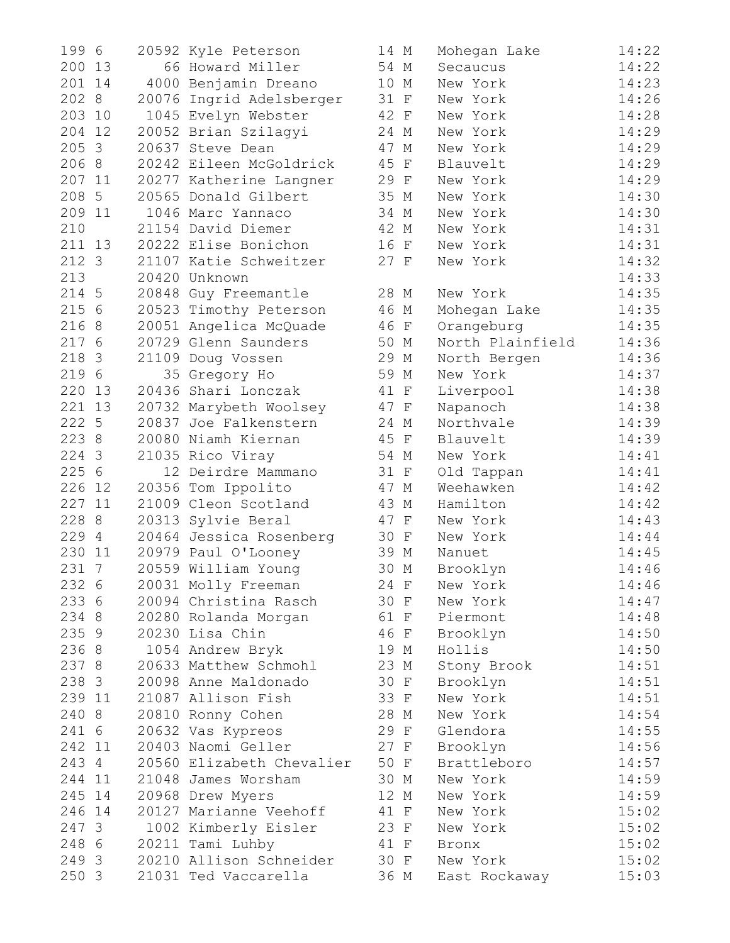| 199 6     | 20592 Kyle Peterson       | 14 M | Mohegan Lake     | 14:22 |
|-----------|---------------------------|------|------------------|-------|
| 200 13    | 66 Howard Miller          | 54 M | Secaucus         | 14:22 |
| 201 14    | 4000 Benjamin Dreano      | 10 M | New York         | 14:23 |
| 202 8     | 20076 Ingrid Adelsberger  | 31 F | New York         | 14:26 |
| 203 10    | 1045 Evelyn Webster       | 42 F | New York         | 14:28 |
| 204<br>12 | 20052 Brian Szilagyi      | 24 M | New York         | 14:29 |
| 205 3     | 20637 Steve Dean          | 47 M | New York         | 14:29 |
| 206 8     | 20242 Eileen McGoldrick   | 45 F | Blauvelt         | 14:29 |
| 207 11    | 20277 Katherine Langner   | 29 F | New York         | 14:29 |
| 208 5     | 20565 Donald Gilbert      | 35 M | New York         | 14:30 |
| 209 11    | 1046 Marc Yannaco         | 34 M | New York         | 14:30 |
| 210       | 21154 David Diemer        | 42 M | New York         | 14:31 |
| 211 13    | 20222 Elise Bonichon      | 16 F | New York         | 14:31 |
| 212 3     | 21107 Katie Schweitzer    | 27 F | New York         | 14:32 |
| 213       | 20420 Unknown             |      |                  | 14:33 |
| 214 5     | 20848 Guy Freemantle      | 28 M | New York         | 14:35 |
| 215 6     | 20523 Timothy Peterson    | 46 M | Mohegan Lake     | 14:35 |
| 216 8     | 20051 Angelica McQuade    | 46 F | Orangeburg       | 14:35 |
| 217 6     | 20729 Glenn Saunders      | 50 M | North Plainfield | 14:36 |
| 218 3     | 21109 Doug Vossen         | 29 M | North Bergen     | 14:36 |
| 219 6     | 35 Gregory Ho             | 59 M | New York         | 14:37 |
| 220 13    | 20436 Shari Lonczak       | 41 F | Liverpool        | 14:38 |
| 221 13    | 20732 Marybeth Woolsey    | 47 F | Napanoch         | 14:38 |
| 222 5     | 20837 Joe Falkenstern     | 24 M | Northvale        | 14:39 |
| 223 8     | 20080 Niamh Kiernan       | 45 F | Blauvelt         | 14:39 |
| 224 3     | 21035 Rico Viray          | 54 M | New York         | 14:41 |
| 225 6     | 12 Deirdre Mammano        | 31 F | Old Tappan       | 14:41 |
| 226 12    | 20356 Tom Ippolito        | 47 M | Weehawken        | 14:42 |
| 227 11    | 21009 Cleon Scotland      | 43 M | Hamilton         | 14:42 |
| 228 8     | 20313 Sylvie Beral        | 47 F | New York         | 14:43 |
| 229 4     | 20464 Jessica Rosenberg   | 30 F | New York         | 14:44 |
| 230<br>11 | 20979 Paul O'Looney       | 39 M | Nanuet           | 14:45 |
| 231 7     | 20559 William Young       | 30 M | Brooklyn         | 14:46 |
| 232 6     | 20031 Molly Freeman       | 24 F | New York         | 14:46 |
| 233 6     | 20094 Christina Rasch     | 30 F | New York         | 14:47 |
| 234 8     | 20280 Rolanda Morgan      | 61 F | Piermont         | 14:48 |
| 235 9     | 20230 Lisa Chin           | 46 F | Brooklyn         | 14:50 |
| 236 8     | 1054 Andrew Bryk          | 19 M | Hollis           | 14:50 |
| 237 8     | 20633 Matthew Schmohl     | 23 M | Stony Brook      | 14:51 |
| 238 3     | 20098 Anne Maldonado      | 30 F | Brooklyn         | 14:51 |
| 239 11    | 21087 Allison Fish        | 33 F | New York         | 14:51 |
| 240 8     | 20810 Ronny Cohen         | 28 M | New York         | 14:54 |
| 241 6     | 20632 Vas Kypreos         | 29 F | Glendora         | 14:55 |
| 242 11    | 20403 Naomi Geller        | 27 F | Brooklyn         | 14:56 |
| 243 4     | 20560 Elizabeth Chevalier | 50 F | Brattleboro      | 14:57 |
| 244 11    | 21048 James Worsham       | 30 M | New York         | 14:59 |
| 245 14    | 20968 Drew Myers          | 12 M | New York         | 14:59 |
| 246 14    | 20127 Marianne Veehoff    | 41 F | New York         | 15:02 |
| 247 3     | 1002 Kimberly Eisler      | 23 F | New York         | 15:02 |
| 248 6     | 20211 Tami Luhby          | 41 F | Bronx            | 15:02 |
| 249 3     | 20210 Allison Schneider   | 30 F | New York         | 15:02 |
| 250 3     | 21031 Ted Vaccarella      | 36 M | East Rockaway    | 15:03 |

| 14   | М                         | Mohegan Lake         | 14:22          |
|------|---------------------------|----------------------|----------------|
| 54   | М                         | Secaucus             | 14:22          |
| 10   | М                         | New York             | 14:23          |
| 31   | $\mathbf F$               | New York             | 14:26          |
| 42   | $\mathbf F$               | New York             | 14:28          |
| 24   | М                         | New York             | 14:29          |
| 47   | М                         | New York             | 14:29          |
| 45   | $\rm F$                   | Blauvelt             | 14:29          |
| 29   | $\boldsymbol{\mathrm{F}}$ | New York             | 14:29          |
| 35 M |                           | New York             | 14:30          |
| 34   | М                         | New York             | 14:30          |
| 42   | М                         | New York             | 14:31          |
| 16   | $\mathbf F$               | New York             | 14:31          |
| 27   | $\rm F$                   | New York             | 14:32          |
|      |                           |                      | 14:33          |
| 28 M |                           | New York             | 14:35          |
| 46   | М                         | Mohegan Lake         | 14:35          |
| 46   | $\mathbf F$               | Orangeburg           | 14:35          |
| 50   | М                         | North Plainfield     | 14:36          |
| 29   | М                         | North Bergen         | 14:36          |
| 59   | М                         | New York             | 14:37          |
| 41   | $\mathbf F$               | Liverpool            | 14:38          |
| 47   | $\mathbf{F}$              | Napanoch             | 14:38          |
| 24   | М                         | Northvale            | 14:39          |
| 45   | $\mathbf F$               | Blauvelt             | 14:39          |
| 54   | М                         | New York             | 14:41          |
| 31   | $\mathbf F$               | Old Tappan           | 14:41          |
| 47   | М                         | Weehawken            | 14:42          |
| 43   | М                         | Hamilton             | 14:42          |
| 47   | $\mathbf F$               | New York             | 14:43          |
| 30   | $\mathbb{F}$              | New York             | 14:44          |
| 39   | М                         | Nanuet               | 14:45          |
| 30   | $\mathop{\rm M}\nolimits$ | Brooklyn             | 14:46          |
| 24   |                           |                      | 14:46          |
| 30   | F<br>$_{\rm F}$           | New York<br>New York | 14:47          |
| 61   | $\mathbf{F}$              |                      | 14:48          |
| 46   |                           | Piermont<br>Brooklyn | 14:50          |
|      | $\mathbf{F}$              |                      | 14:50          |
| 19   | М                         | Hollis               |                |
| 23   | М                         | Stony Brook          | 14:51<br>14:51 |
| 30   | $\rm F$                   | Brooklyn             |                |
| 33   | F                         | New York             | 14:51<br>14:54 |
| 28   | $\mathop{\rm M}\nolimits$ | New York             |                |
| 29   | $\boldsymbol{\mathrm{F}}$ | Glendora             | 14:55          |
| 27   | $\mathbf{F}$              | Brooklyn             | 14:56          |
| 50   | F                         | Brattleboro          | 14:57          |
| 30   | М                         | New York             | 14:59          |
| 12   | М                         | New York             | 14:59          |
| 41   | F                         | New York             | 15:02          |
| 23   | $\mathbf F$               | New York             | 15:02          |
| 41 F |                           | Bronx                | 15:02          |
| 30   | $\mathbf{F}$              | New York             | 15:02          |
| 36   | М                         | East Rockaway        | 15:03          |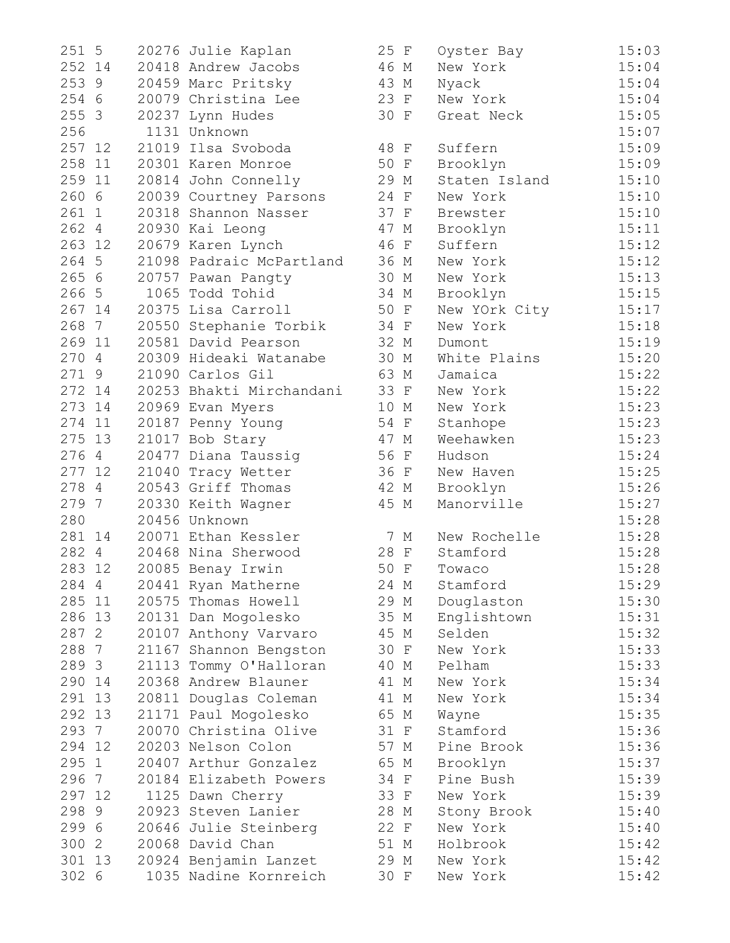| 251 5  |        | 20276 Julie Kaplan       | 25 F | Oyster Bay    | 15:03 |
|--------|--------|--------------------------|------|---------------|-------|
| 252 14 |        | 20418 Andrew Jacobs      | 46 M | New York      | 15:04 |
|        | 253 9  | 20459 Marc Pritsky       | 43 M | Nyack         | 15:04 |
|        | 254 6  | 20079 Christina Lee      | 23 F | New York      | 15:04 |
|        | 255 3  | 20237 Lynn Hudes         | 30 F | Great Neck    | 15:05 |
| 256    |        | 1131 Unknown             |      |               | 15:07 |
| 257 12 |        | 21019 Ilsa Svoboda       | 48 F | Suffern       | 15:09 |
|        | 258 11 | 20301 Karen Monroe       | 50 F | Brooklyn      | 15:09 |
|        | 259 11 | 20814 John Connelly      | 29 M | Staten Island | 15:10 |
| 260 6  |        | 20039 Courtney Parsons   | 24 F | New York      | 15:10 |
| 261 1  |        | 20318 Shannon Nasser     | 37 F | Brewster      | 15:10 |
|        | 262 4  | 20930 Kai Leong          | 47 M | Brooklyn      | 15:11 |
| 263 12 |        | 20679 Karen Lynch        | 46 F | Suffern       | 15:12 |
|        | 264 5  | 21098 Padraic McPartland | 36 M | New York      | 15:12 |
|        | 265 6  | 20757 Pawan Pangty       | 30 M | New York      | 15:13 |
|        | 266 5  | 1065 Todd Tohid          | 34 M | Brooklyn      | 15:15 |
| 267 14 |        | 20375 Lisa Carroll       | 50 F | New YOrk City | 15:17 |
|        | 268 7  | 20550 Stephanie Torbik   | 34 F | New York      | 15:18 |
| 269 11 |        | 20581 David Pearson      | 32 M | Dumont        | 15:19 |
|        | 270 4  | 20309 Hideaki Watanabe   | 30 M | White Plains  | 15:20 |
| 271 9  |        | 21090 Carlos Gil         | 63 M | Jamaica       | 15:22 |
| 272 14 |        | 20253 Bhakti Mirchandani | 33 F | New York      | 15:22 |
| 273 14 |        | 20969 Evan Myers         | 10 M | New York      | 15:23 |
| 274 11 |        | 20187 Penny Young        | 54 F | Stanhope      | 15:23 |
| 275 13 |        | 21017 Bob Stary          | 47 M | Weehawken     | 15:23 |
|        | 276 4  | 20477 Diana Taussig      | 56 F | Hudson        | 15:24 |
|        | 277 12 | 21040 Tracy Wetter       | 36 F | New Haven     | 15:25 |
| 278 4  |        | 20543 Griff Thomas       | 42 M | Brooklyn      | 15:26 |
| 279 7  |        | 20330 Keith Wagner       | 45 M | Manorville    | 15:27 |
| 280    |        | 20456 Unknown            |      |               | 15:28 |
|        | 281 14 | 20071 Ethan Kessler      | 7 M  | New Rochelle  | 15:28 |
|        | 282 4  | 20468 Nina Sherwood      | 28 F | Stamford      | 15:28 |
| 283 12 |        | 20085 Benay Irwin        | 50 F | Towaco        | 15:28 |
| 284 4  |        | 20441 Ryan Matherne      | 24 M | Stamford      | 15:29 |
| 285 11 |        | 20575 Thomas Howell      | 29 M | Douglaston    | 15:30 |
| 286 13 |        | 20131 Dan Mogolesko      | 35 M | Englishtown   | 15:31 |
| 287 2  |        | 20107 Anthony Varvaro    | 45 M | Selden        | 15:32 |
| 288 7  |        | 21167 Shannon Bengston   | 30 F | New York      | 15:33 |
| 289 3  |        | 21113 Tommy O'Halloran   | 40 M | Pelham        | 15:33 |
| 290 14 |        | 20368 Andrew Blauner     | 41 M | New York      | 15:34 |
| 291 13 |        | 20811 Douglas Coleman    | 41 M | New York      | 15:34 |
| 292 13 |        | 21171 Paul Mogolesko     | 65 M | Wayne         | 15:35 |
| 293 7  |        | 20070 Christina Olive    | 31 F | Stamford      | 15:36 |
| 294 12 |        | 20203 Nelson Colon       | 57 M | Pine Brook    | 15:36 |
| 295 1  |        | 20407 Arthur Gonzalez    | 65 M | Brooklyn      | 15:37 |
| 296 7  |        | 20184 Elizabeth Powers   | 34 F | Pine Bush     | 15:39 |
| 297 12 |        | 1125 Dawn Cherry         | 33 F | New York      | 15:39 |
| 298 9  |        | 20923 Steven Lanier      | 28 M | Stony Brook   | 15:40 |
| 299 6  |        | 20646 Julie Steinberg    | 22 F | New York      |       |
| 300 2  |        | 20068 David Chan         | 51 M | Holbrook      | 15:40 |
| 301 13 |        |                          |      |               | 15:42 |
|        |        | 20924 Benjamin Lanzet    | 29 M | New York      | 15:42 |
| 302 6  |        | 1035 Nadine Kornreich    | 30 F | New York      | 15:42 |

| 251 5  |        | 20276 Julie Kaplan       | 25 F | Oyster Bay    | 15:03 |
|--------|--------|--------------------------|------|---------------|-------|
|        | 252 14 | 20418 Andrew Jacobs      | 46 M | New York      | 15:04 |
|        | 253 9  | 20459 Marc Pritsky       | 43 M | Nyack         | 15:04 |
|        | 254 6  | 20079 Christina Lee      | 23 F | New York      | 15:04 |
| 255 3  |        | 20237 Lynn Hudes         | 30 F | Great Neck    | 15:05 |
| 256    |        | 1131 Unknown             |      |               | 15:07 |
|        | 257 12 | 21019 Ilsa Svoboda       | 48 F | Suffern       | 15:09 |
|        | 258 11 | 20301 Karen Monroe       | 50 F | Brooklyn      | 15:09 |
| 259 11 |        | 20814 John Connelly      | 29 M | Staten Island | 15:10 |
| 260 6  |        | 20039 Courtney Parsons   | 24 F | New York      | 15:10 |
|        | 261 1  | 20318 Shannon Nasser     | 37 F | Brewster      | 15:10 |
|        | 262 4  | 20930 Kai Leong          | 47 M | Brooklyn      | 15:11 |
| 263 12 |        | 20679 Karen Lynch        | 46 F | Suffern       | 15:12 |
|        | 264 5  | 21098 Padraic McPartland | 36 M | New York      | 15:12 |
| 265 6  |        | 20757 Pawan Pangty       | 30 M | New York      | 15:13 |
| 266 5  |        | 1065 Todd Tohid          | 34 M | Brooklyn      | 15:15 |
|        | 267 14 | 20375 Lisa Carroll       | 50 F | New YOrk City | 15:17 |
|        | 268 7  | 20550 Stephanie Torbik   | 34 F | New York      | 15:18 |
| 269 11 |        | 20581 David Pearson      | 32 M | Dumont        | 15:19 |
|        | 270 4  | 20309 Hideaki Watanabe   | 30 M | White Plains  | 15:20 |
|        | 271 9  | 21090 Carlos Gil         | 63 M | Jamaica       | 15:22 |
|        | 272 14 | 20253 Bhakti Mirchandani | 33 F | New York      | 15:22 |
|        | 273 14 | 20969 Evan Myers         | 10 M | New York      | 15:23 |
|        | 274 11 | 20187 Penny Young        | 54 F | Stanhope      | 15:23 |
|        | 275 13 | 21017 Bob Stary          | 47 M | Weehawken     | 15:23 |
|        | 276 4  | 20477 Diana Taussig      | 56 F | Hudson        | 15:24 |
| 277 12 |        | 21040 Tracy Wetter       | 36 F | New Haven     | 15:25 |
|        | 278 4  | 20543 Griff Thomas       | 42 M | Brooklyn      | 15:26 |
| 279 7  |        | 20330 Keith Wagner       | 45 M | Manorville    | 15:27 |
| 280    |        | 20456 Unknown            |      |               | 15:28 |
|        | 281 14 | 20071 Ethan Kessler      | 7 M  | New Rochelle  | 15:28 |
|        | 282 4  | 20468 Nina Sherwood      | 28 F | Stamford      | 15:28 |
| 283 12 |        | 20085 Benay Irwin        | 50 F | Towaco        | 15:28 |
| 2844   |        | 20441 Ryan Matherne      | 24 M | Stamford      | 15:29 |
| 285 11 |        | 20575 Thomas Howell      | 29 M | Douglaston    | 15:30 |
| 286 13 |        | 20131 Dan Mogolesko      | 35 M | Englishtown   | 15:31 |
| 287 2  |        | 20107 Anthony Varvaro    | 45 M | Selden        | 15:32 |
| 288 7  |        | 21167 Shannon Bengston   | 30 F | New York      | 15:33 |
| 289 3  |        | 21113 Tommy O'Halloran   | 40 M | Pelham        | 15:33 |
| 290 14 |        | 20368 Andrew Blauner     | 41 M | New York      | 15:34 |
| 291 13 |        | 20811 Douglas Coleman    | 41 M | New York      | 15:34 |
| 292 13 |        | 21171 Paul Mogolesko     | 65 M | Wayne         | 15:35 |
| 293 7  |        | 20070 Christina Olive    | 31 F | Stamford      | 15:36 |
| 294 12 |        | 20203 Nelson Colon       | 57 M | Pine Brook    | 15:36 |
| 295 1  |        | 20407 Arthur Gonzalez    | 65 M | Brooklyn      | 15:37 |
| 296 7  |        | 20184 Elizabeth Powers   | 34 F | Pine Bush     | 15:39 |
| 297 12 |        | 1125 Dawn Cherry         | 33 F | New York      | 15:39 |
| 298 9  |        | 20923 Steven Lanier      | 28 M | Stony Brook   | 15:40 |
| 299 6  |        | 20646 Julie Steinberg    | 22 F | New York      | 15:40 |
| 300 2  |        | 20068 David Chan         | 51 M | Holbrook      | 15:42 |
|        | 301 13 | 20924 Benjamin Lanzet    | 29 M | New York      | 15:42 |
| 302 6  |        | 1035 Nadine Kornreich    | 30 F | New York      | 15:42 |
|        |        |                          |      |               |       |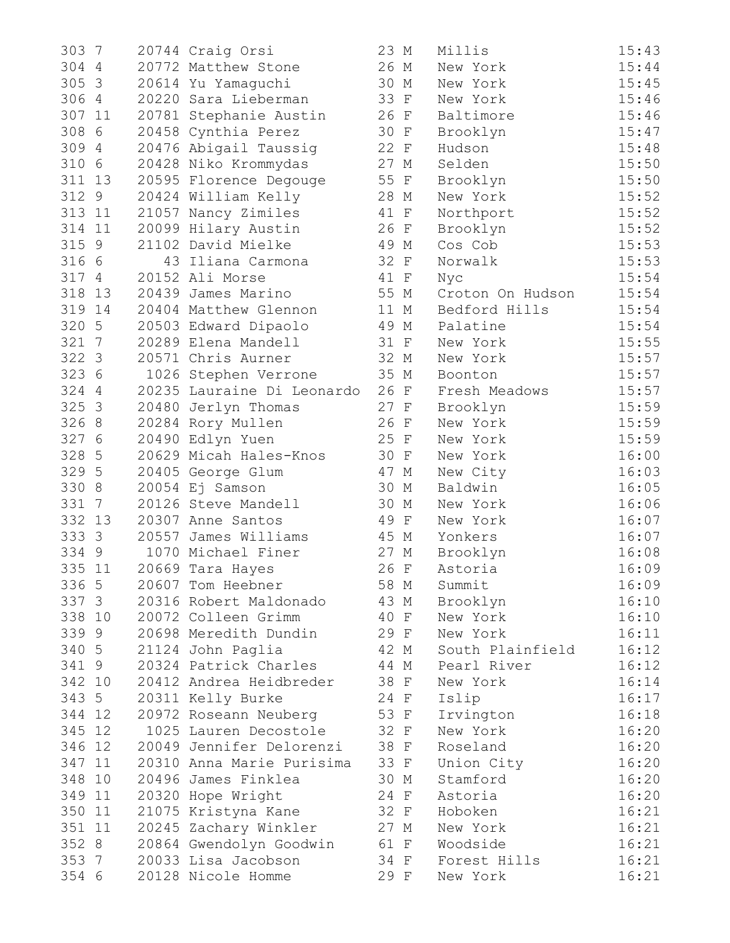| 303 7                  | 20744 Craig Orsi           | 23 M | Millis           | 15:43 |
|------------------------|----------------------------|------|------------------|-------|
| 304 4                  | 20772 Matthew Stone        | 26 M | New York         | 15:44 |
| 305 3                  | 20614 Yu Yamaguchi         | 30 M | New York         | 15:45 |
| 306 4                  | 20220 Sara Lieberman       | 33 F | New York         | 15:46 |
| 307 11                 | 20781 Stephanie Austin     | 26 F | Baltimore        | 15:46 |
| 308 6                  | 20458 Cynthia Perez        | 30 F | Brooklyn         | 15:47 |
| 309 4                  | 20476 Abigail Taussig      | 22 F | Hudson           | 15:48 |
| 310 6                  | 20428 Niko Krommydas       | 27 M | Selden           | 15:50 |
| 311 13                 | 20595 Florence Degouge     | 55 F | Brooklyn         | 15:50 |
| 312 9                  | 20424 William Kelly        | 28 M | New York         | 15:52 |
| 313 11                 | 21057 Nancy Zimiles        | 41 F | Northport        | 15:52 |
| 314 11                 | 20099 Hilary Austin        | 26 F | Brooklyn         | 15:52 |
| 315 9                  | 21102 David Mielke         | 49 M | Cos Cob          | 15:53 |
| 316 6                  | 43 Iliana Carmona          | 32 F | Norwalk          | 15:53 |
| 317 4                  | 20152 Ali Morse            | 41 F | Nyc              | 15:54 |
| 318 13                 | 20439 James Marino         | 55 M | Croton On Hudson | 15:54 |
| 319 14                 | 20404 Matthew Glennon      | 11 M | Bedford Hills    | 15:54 |
| 320 5                  | 20503 Edward Dipaolo       | 49 M | Palatine         | 15:54 |
| 321 7                  | 20289 Elena Mandell        | 31 F | New York         | 15:55 |
| 322 3                  | 20571 Chris Aurner         | 32 M | New York         | 15:57 |
| 323 6                  | 1026 Stephen Verrone       | 35 M | Boonton          | 15:57 |
| 324 4                  | 20235 Lauraine Di Leonardo | 26 F | Fresh Meadows    | 15:57 |
| 325 3                  | 20480 Jerlyn Thomas        | 27 F | Brooklyn         | 15:59 |
| 326 8                  | 20284 Rory Mullen          | 26 F | New York         | 15:59 |
| 327 6                  | 20490 Edlyn Yuen           | 25 F | New York         | 15:59 |
| 328 5                  | 20629 Micah Hales-Knos     | 30 F | New York         | 16:00 |
| 329 5                  | 20405 George Glum          | 47 M | New City         | 16:03 |
| 330 8                  | 20054 Ej Samson            | 30 M | Baldwin          | 16:05 |
| 331<br>$7\phantom{.0}$ | 20126 Steve Mandell        | 30 M | New York         | 16:06 |
| 332 13                 | 20307 Anne Santos          | 49 F | New York         | 16:07 |
| 333 3                  | 20557 James Williams       | 45 M | Yonkers          | 16:07 |
| 334 9                  | 1070 Michael Finer         | 27 M | Brooklyn         | 16:08 |
| 335 11                 | 20669 Tara Hayes           | 26 F | Astoria          | 16:09 |
| 336 5                  | 20607 Tom Heebner          | 58 M | Summit           | 16:09 |
| 337 3                  | 20316 Robert Maldonado     | 43 M | Brooklyn         | 16:10 |
| 338 10                 | 20072 Colleen Grimm        | 40 F | New York         | 16:10 |
| 339 9                  | 20698 Meredith Dundin      | 29 F | New York         | 16:11 |
| 340 5                  | 21124 John Paglia          | 42 M | South Plainfield | 16:12 |
| 341 9                  | 20324 Patrick Charles      | 44 M | Pearl River      | 16:12 |
| 342 10                 | 20412 Andrea Heidbreder    | 38 F | New York         | 16:14 |
| 343 5                  | 20311 Kelly Burke          | 24 F | Islip            | 16:17 |
| 344 12                 | 20972 Roseann Neuberg      | 53 F | Irvington        | 16:18 |
| 345 12                 | 1025 Lauren Decostole      | 32 F | New York         | 16:20 |
| 346 12                 | 20049 Jennifer Delorenzi   | 38 F | Roseland         | 16:20 |
| 347 11                 | 20310 Anna Marie Purisima  | 33 F | Union City       | 16:20 |
| 348 10                 | 20496 James Finklea        | 30 M | Stamford         | 16:20 |
| 349 11                 | 20320 Hope Wright          | 24 F | Astoria          | 16:20 |
| 350 11                 | 21075 Kristyna Kane        | 32 F | Hoboken          | 16:21 |
| 351 11                 | 20245 Zachary Winkler      | 27 M | New York         | 16:21 |
| 352 8                  | 20864 Gwendolyn Goodwin    | 61 F | Woodside         | 16:21 |
| 353 7                  | 20033 Lisa Jacobson        | 34 F | Forest Hills     | 16:21 |
| 354 6                  | 20128 Nicole Homme         | 29 F | New York         | 16:21 |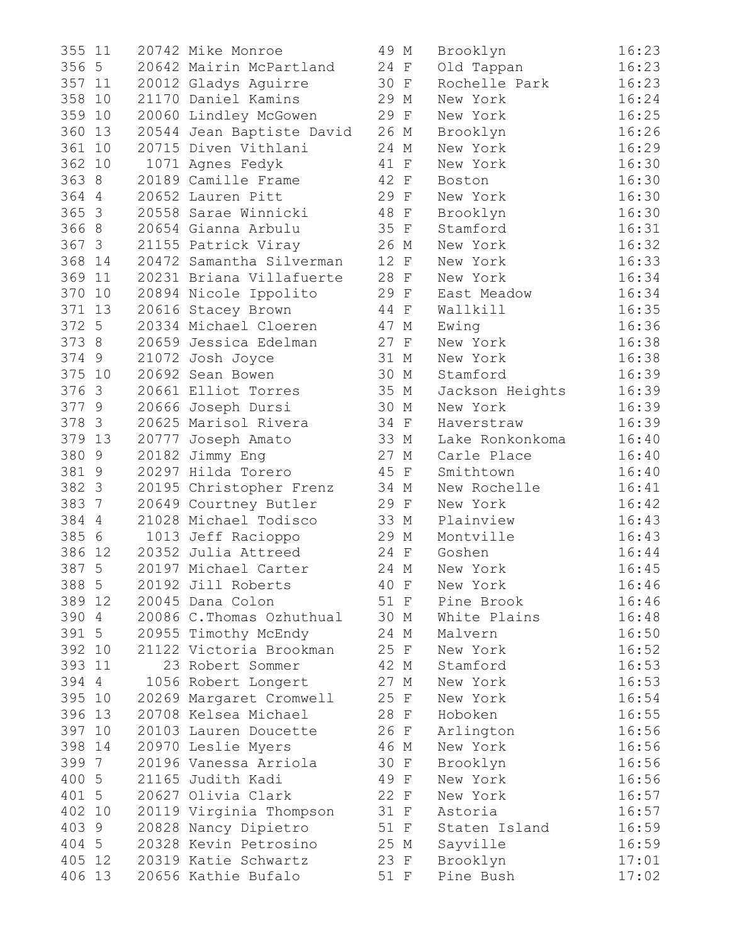| 355<br>11             | 20742 Mike Monroe         | 49 M         | Brooklyn        | 16:23 |
|-----------------------|---------------------------|--------------|-----------------|-------|
| 356 5                 | 20642 Mairin McPartland   | 24 F         | Old Tappan      | 16:23 |
| 357 11                | 20012 Gladys Aguirre      | 30 F         | Rochelle Park   | 16:23 |
| 358<br>10             | 21170 Daniel Kamins       | 29 M         | New York        | 16:24 |
| 359<br>10             | 20060 Lindley McGowen     | 29 F         | New York        | 16:25 |
| 360<br>13             | 20544 Jean Baptiste David | 26 M         | Brooklyn        | 16:26 |
| 361<br>10             | 20715 Diven Vithlani      | 24 M         | New York        | 16:29 |
| 362 10                | 1071 Agnes Fedyk          | 41 F         | New York        | 16:30 |
| 363 8                 | 20189 Camille Frame       | 42 F         | Boston          | 16:30 |
| 364 4                 | 20652 Lauren Pitt         | 29 F         | New York        | 16:30 |
| 365 3                 | 20558 Sarae Winnicki      | 48 F         | Brooklyn        | 16:30 |
| 366 8                 | 20654 Gianna Arbulu       | 35 F         | Stamford        | 16:31 |
| 367 3                 | 21155 Patrick Viray       | 26 M         | New York        | 16:32 |
| 368<br>14             | 20472 Samantha Silverman  | 12 F         | New York        | 16:33 |
| 369<br>11             | 20231 Briana Villafuerte  | 28 F         | New York        | 16:34 |
| 370<br>10             | 20894 Nicole Ippolito     | 29 F         | East Meadow     | 16:34 |
| 371<br>13             | 20616 Stacey Brown        | 44 F         | Wallkill        | 16:35 |
| 372 5                 | 20334 Michael Cloeren     | 47 M         | Ewing           | 16:36 |
| 373 8                 | 20659 Jessica Edelman     | 27 F         | New York        | 16:38 |
| 374 9                 | 21072 Josh Joyce          | 31 M         | New York        | 16:38 |
| 375 10                | 20692 Sean Bowen          | 30 M         | Stamford        | 16:39 |
| 376 3                 | 20661 Elliot Torres       | 35 M         | Jackson Heights | 16:39 |
| 377 9                 | 20666 Joseph Dursi        | 30 M         | New York        | 16:39 |
| 378 3                 | 20625 Marisol Rivera      | 34 F         | Haverstraw      | 16:39 |
| 379 13                | 20777 Joseph Amato        | 33 M         | Lake Ronkonkoma | 16:40 |
| 380 9                 | 20182 Jimmy Eng           | 27 M         | Carle Place     | 16:40 |
| 381 9                 | 20297 Hilda Torero        | 45 F         | Smithtown       | 16:40 |
| 382 3                 | 20195 Christopher Frenz   | 34 M         | New Rochelle    | 16:41 |
| 383<br>$\overline{7}$ | 20649 Courtney Butler     | 29 F         | New York        | 16:42 |
| 384 4                 | 21028 Michael Todisco     | 33 M         | Plainview       | 16:43 |
| 385 6                 | 1013 Jeff Racioppo        | 29 M         | Montville       | 16:43 |
| 386<br>12             | 20352 Julia Attreed       | 24 F         | Goshen          | 16:44 |
| 387 5                 | 20197 Michael Carter      | 24 M         | New York        | 16:45 |
| 388 5                 | 20192 Jill Roberts        | 40 F         | New York        | 16:46 |
| 389 12                | 20045 Dana Colon          | 51 F         | Pine Brook      | 16:46 |
| 390 4                 | 20086 C. Thomas Ozhuthual | 30 M         | White Plains    | 16:48 |
| 391 5                 | 20955 Timothy McEndy      | 24 M         | Malvern         | 16:50 |
| 392 10                | 21122 Victoria Brookman   | 25 F         |                 | 16:52 |
| 393 11                | 23 Robert Sommer          |              | New York        |       |
|                       |                           | 42 M<br>27 M | Stamford        | 16:53 |
| 394 4                 | 1056 Robert Longert       |              | New York        | 16:53 |
| 395<br>10             | 20269 Margaret Cromwell   | 25 F         | New York        | 16:54 |
| 396 13                | 20708 Kelsea Michael      | 28 F         | Hoboken         | 16:55 |
| 397 10                | 20103 Lauren Doucette     | 26 F         | Arlington       | 16:56 |
| 398 14                | 20970 Leslie Myers        | 46 M         | New York        | 16:56 |
| 399 7                 | 20196 Vanessa Arriola     | 30 F         | Brooklyn        | 16:56 |
| 400 5                 | 21165 Judith Kadi         | 49 F         | New York        | 16:56 |
| 401 5                 | 20627 Olivia Clark        | 22 F         | New York        | 16:57 |
| 402 10                | 20119 Virginia Thompson   | 31 F         | Astoria         | 16:57 |
| 403 9                 | 20828 Nancy Dipietro      | 51 F         | Staten Island   | 16:59 |
| 404 5                 | 20328 Kevin Petrosino     | 25 M         | Sayville        | 16:59 |
| 405 12                | 20319 Katie Schwartz      | 23 F         | Brooklyn        | 17:01 |
| 406 13                | 20656 Kathie Bufalo       | 51 F         | Pine Bush       | 17:02 |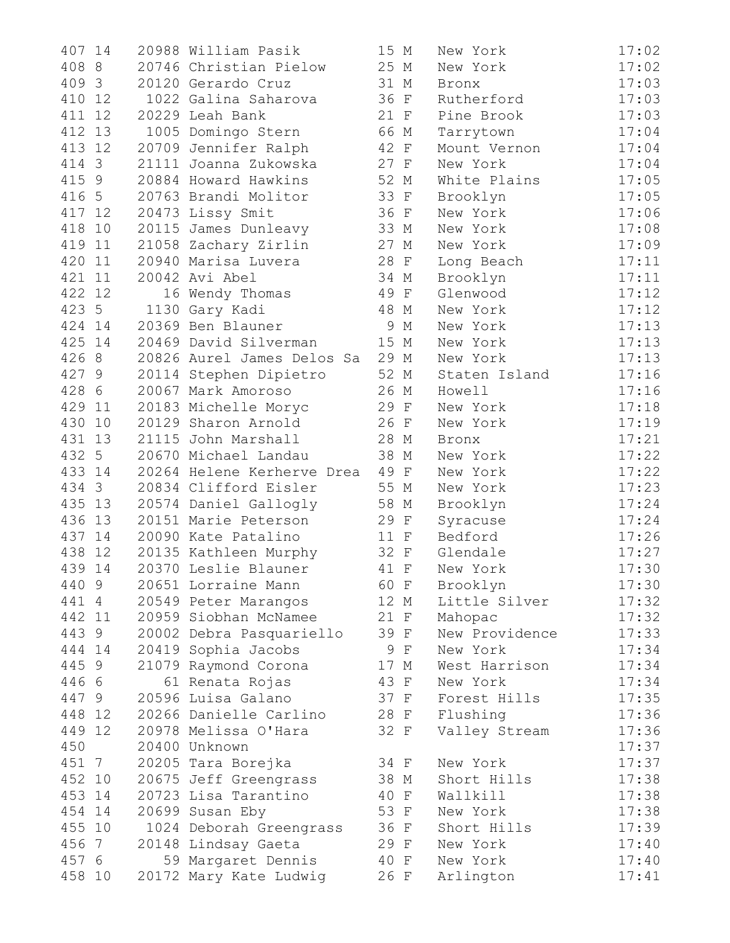| 14<br>407 | 20988 William Pasik        | 15 M | New York       | 17:02 |
|-----------|----------------------------|------|----------------|-------|
| 408 8     | 20746 Christian Pielow     | 25 M | New York       | 17:02 |
| 409 3     | 20120 Gerardo Cruz         | 31 M | Bronx          | 17:03 |
| 410<br>12 | 1022 Galina Saharova       | 36 F | Rutherford     | 17:03 |
| 411 12    | 20229 Leah Bank            | 21 F | Pine Brook     | 17:03 |
| 412 13    | 1005 Domingo Stern         | 66 M | Tarrytown      | 17:04 |
| 413<br>12 | 20709 Jennifer Ralph       | 42 F | Mount Vernon   | 17:04 |
| 414 3     | 21111 Joanna Zukowska      | 27 F | New York       | 17:04 |
| 415 9     | 20884 Howard Hawkins       | 52 M | White Plains   | 17:05 |
| 416 5     | 20763 Brandi Molitor       | 33 F | Brooklyn       | 17:05 |
| 417 12    | 20473 Lissy Smit           | 36 F | New York       | 17:06 |
| 418<br>10 | 20115 James Dunleavy       | 33 M | New York       | 17:08 |
| 419<br>11 | 21058 Zachary Zirlin       | 27 M | New York       | 17:09 |
| 420<br>11 | 20940 Marisa Luvera        | 28 F | Long Beach     | 17:11 |
| 421 11    | 20042 Avi Abel             | 34 M | Brooklyn       | 17:11 |
| 422 12    | 16 Wendy Thomas            | 49 F | Glenwood       | 17:12 |
| 423 5     | 1130 Gary Kadi             | 48 M | New York       | 17:12 |
| 424 14    | 20369 Ben Blauner          | 9 M  | New York       | 17:13 |
| 425 14    | 20469 David Silverman      | 15 M | New York       | 17:13 |
| 426 8     | 20826 Aurel James Delos Sa | 29 M | New York       | 17:13 |
| 427 9     | 20114 Stephen Dipietro     | 52 M | Staten Island  | 17:16 |
| 428 6     | 20067 Mark Amoroso         | 26 M | Howell         | 17:16 |
| 429 11    | 20183 Michelle Moryc       | 29 F | New York       | 17:18 |
| 430 10    | 20129 Sharon Arnold        | 26 F | New York       | 17:19 |
| 431<br>13 | 21115 John Marshall        | 28 M | Bronx          | 17:21 |
| 432 5     | 20670 Michael Landau       | 38 M | New York       | 17:22 |
| 433 14    | 20264 Helene Kerherve Drea | 49 F | New York       | 17:22 |
| 434 3     | 20834 Clifford Eisler      | 55 M | New York       | 17:23 |
| 435<br>13 | 20574 Daniel Gallogly      | 58 M | Brooklyn       | 17:24 |
| 436<br>13 | 20151 Marie Peterson       | 29 F | Syracuse       | 17:24 |
| 437<br>14 | 20090 Kate Patalino        | 11 F | Bedford        | 17:26 |
| 438<br>12 | 20135 Kathleen Murphy      | 32 F | Glendale       | 17:27 |
| 439 14    | 20370 Leslie Blauner       | 41 F | New York       | 17:30 |
| 440 9     | 20651 Lorraine Mann        | 60 F | Brooklyn       | 17:30 |
| 441 4     | 20549 Peter Marangos       | 12 M | Little Silver  | 17:32 |
| 442 11    | 20959 Siobhan McNamee      | 21 F | Mahopac        | 17:32 |
| 443 9     | 20002 Debra Pasquariello   | 39 F | New Providence | 17:33 |
| 444 14    | 20419 Sophia Jacobs        | 9 F  | New York       | 17:34 |
| 445 9     | 21079 Raymond Corona       | 17 M | West Harrison  | 17:34 |
| 446 6     | 61 Renata Rojas            | 43 F | New York       | 17:34 |
| 447 9     | 20596 Luisa Galano         | 37 F | Forest Hills   | 17:35 |
| 448 12    | 20266 Danielle Carlino     | 28 F | Flushing       | 17:36 |
| 449 12    | 20978 Melissa O'Hara       | 32 F | Valley Stream  | 17:36 |
| 450       | 20400 Unknown              |      |                | 17:37 |
| 451 7     | 20205 Tara Borejka         | 34 F | New York       | 17:37 |
| 452 10    | 20675 Jeff Greengrass      | 38 M | Short Hills    | 17:38 |
| 453 14    | 20723 Lisa Tarantino       | 40 F | Wallkill       | 17:38 |
| 454 14    | 20699 Susan Eby            | 53 F | New York       | 17:38 |
| 455 10    | 1024 Deborah Greengrass    | 36 F | Short Hills    | 17:39 |
| 456 7     | 20148 Lindsay Gaeta        | 29 F | New York       | 17:40 |
| 457 6     | 59 Margaret Dennis         | 40 F | New York       | 17:40 |
| 458 10    | 20172 Mary Kate Ludwig     | 26 F | Arlington      | 17:41 |
|           |                            |      |                |       |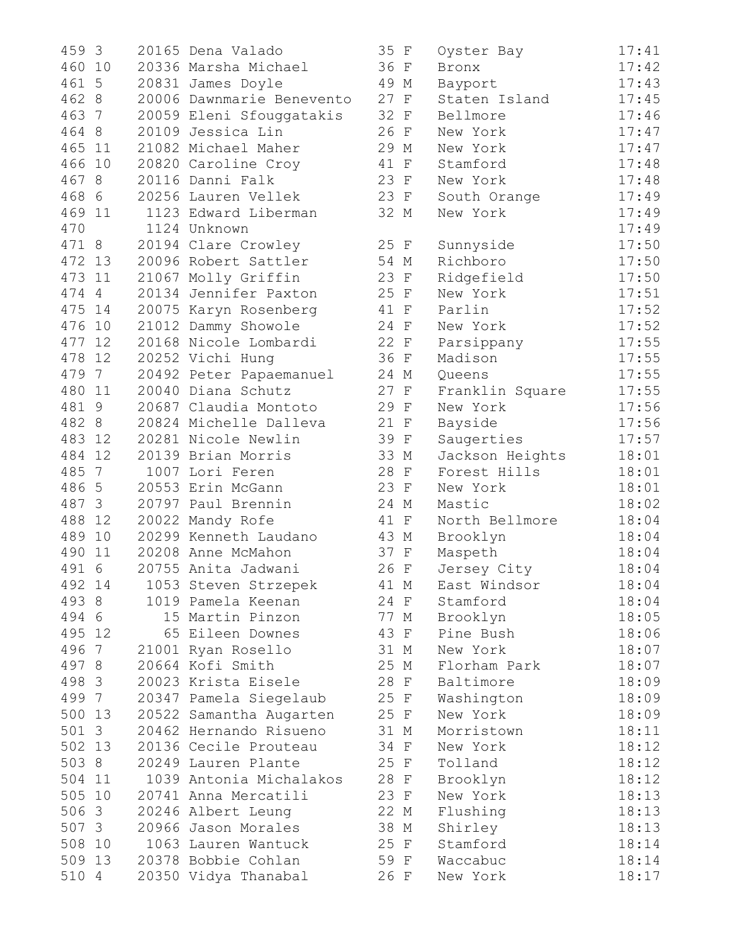| 459 3  |    | 20165 Dena Valado         | 35 F | Oyster Bay      | 17:41 |
|--------|----|---------------------------|------|-----------------|-------|
| 460 10 |    | 20336 Marsha Michael      | 36 F | Bronx           | 17:42 |
| 461 5  |    | 20831 James Doyle         | 49 M | Bayport         | 17:43 |
| 462 8  |    | 20006 Dawnmarie Benevento | 27 F | Staten Island   | 17:45 |
| 463 7  |    | 20059 Eleni Sfouggatakis  | 32 F | Bellmore        | 17:46 |
| 464 8  |    | 20109 Jessica Lin         | 26 F | New York        | 17:47 |
| 465 11 |    | 21082 Michael Maher       | 29 M | New York        | 17:47 |
| 466 10 |    | 20820 Caroline Croy       | 41 F | Stamford        | 17:48 |
| 467 8  |    | 20116 Danni Falk          | 23 F | New York        | 17:48 |
| 468 6  |    | 20256 Lauren Vellek       | 23 F | South Orange    | 17:49 |
| 469 11 |    | 1123 Edward Liberman      | 32 M | New York        | 17:49 |
| 470    |    | 1124 Unknown              |      |                 | 17:49 |
| 471 8  |    | 20194 Clare Crowley       | 25 F | Sunnyside       | 17:50 |
| 472 13 |    | 20096 Robert Sattler      | 54 M | Richboro        | 17:50 |
| 473    | 11 | 21067 Molly Griffin       | 23 F | Ridgefield      | 17:50 |
| 474 4  |    | 20134 Jennifer Paxton     | 25 F | New York        | 17:51 |
| 475 14 |    | 20075 Karyn Rosenberg     | 41 F | Parlin          | 17:52 |
| 476    | 10 | 21012 Dammy Showole       | 24 F | New York        | 17:52 |
| 477    | 12 | 20168 Nicole Lombardi     | 22 F | Parsippany      | 17:55 |
| 478 12 |    | 20252 Vichi Hung          | 36 F | Madison         | 17:55 |
| 479 7  |    | 20492 Peter Papaemanuel   | 24 M | Queens          | 17:55 |
| 480 11 |    | 20040 Diana Schutz        | 27 F | Franklin Square | 17:55 |
| 481 9  |    | 20687 Claudia Montoto     | 29 F | New York        | 17:56 |
| 482 8  |    | 20824 Michelle Dalleva    | 21 F | Bayside         | 17:56 |
| 483 12 |    | 20281 Nicole Newlin       | 39 F | Saugerties      | 17:57 |
| 484 12 |    | 20139 Brian Morris        | 33 M | Jackson Heights | 18:01 |
| 485 7  |    | 1007 Lori Feren           | 28 F | Forest Hills    | 18:01 |
| 486 5  |    | 20553 Erin McGann         | 23 F | New York        | 18:01 |
| 487 3  |    | 20797 Paul Brennin        | 24 M | Mastic          | 18:02 |
| 488    | 12 | 20022 Mandy Rofe          | 41 F | North Bellmore  | 18:04 |
| 489 10 |    | 20299 Kenneth Laudano     | 43 M | Brooklyn        | 18:04 |
| 490    | 11 | 20208 Anne McMahon        | 37 F | Maspeth         | 18:04 |
| 491 6  |    | 20755 Anita Jadwani       | 26 F | Jersey City     | 18:04 |
| 492    | 14 | 1053 Steven Strzepek      | 41 M | East Windsor    | 18:04 |
| 493 8  |    | 1019 Pamela Keenan        | 24 F | Stamford        | 18:04 |
| 494 6  |    | 15 Martin Pinzon          | 77 M | Brooklyn        | 18:05 |
| 495 12 |    | 65 Eileen Downes          | 43 F | Pine Bush       | 18:06 |
| 496 7  |    | 21001 Ryan Rosello        | 31 M | New York        | 18:07 |
| 497 8  |    | 20664 Kofi Smith          | 25 M | Florham Park    | 18:07 |
| 498 3  |    | 20023 Krista Eisele       | 28 F | Baltimore       | 18:09 |
| 499 7  |    | 20347 Pamela Siegelaub    | 25 F | Washington      | 18:09 |
| 500 13 |    | 20522 Samantha Augarten   | 25 F | New York        | 18:09 |
| 501 3  |    | 20462 Hernando Risueno    | 31 M | Morristown      | 18:11 |
| 502 13 |    | 20136 Cecile Prouteau     | 34 F | New York        | 18:12 |
| 503 8  |    | 20249 Lauren Plante       | 25 F | Tolland         | 18:12 |
| 504 11 |    | 1039 Antonia Michalakos   | 28 F | Brooklyn        | 18:12 |
| 505 10 |    | 20741 Anna Mercatili      | 23 F | New York        | 18:13 |
| 506 3  |    | 20246 Albert Leung        | 22 M | Flushing        | 18:13 |
| 507 3  |    | 20966 Jason Morales       | 38 M | Shirley         | 18:13 |
| 508 10 |    | 1063 Lauren Wantuck       | 25 F | Stamford        | 18:14 |
| 509 13 |    | 20378 Bobbie Cohlan       | 59 F | Waccabuc        | 18:14 |
| 510 4  |    | 20350 Vidya Thanabal      | 26 F | New York        | 18:17 |

| 459 3     | 20165 Dena Valado         | 35 F | Oyster Bay      | 17:41          |
|-----------|---------------------------|------|-----------------|----------------|
| 460 10    | 20336 Marsha Michael      | 36 F | Bronx           | 17:42          |
| 461 5     | 20831 James Doyle         | 49 M | Bayport         | 17:43          |
| 462 8     | 20006 Dawnmarie Benevento | 27 F | Staten Island   | 17:45          |
| 463 7     | 20059 Eleni Sfouggatakis  | 32 F | Bellmore        | 17:46          |
| 464 8     | 20109 Jessica Lin         | 26 F | New York        | 17:47          |
| 465 11    | 21082 Michael Maher       | 29 M | New York        | 17:47          |
| 466 10    | 20820 Caroline Croy       | 41 F | Stamford        | 17:48          |
| 467 8     | 20116 Danni Falk          | 23 F | New York        | 17:48          |
| 468 6     | 20256 Lauren Vellek       | 23 F | South Orange    | 17:49          |
| 469 11    | 1123 Edward Liberman      | 32 M | New York        | 17:49          |
| 470       | 1124 Unknown              |      |                 | 17:49          |
| 471 8     | 20194 Clare Crowley       | 25 F | Sunnyside       | 17:50          |
| 472 13    | 20096 Robert Sattler      | 54 M | Richboro        | 17:50          |
| 473<br>11 | 21067 Molly Griffin       | 23 F | Ridgefield      | 17:50          |
| 474 4     | 20134 Jennifer Paxton     | 25 F | New York        | 17:51          |
| 475 14    | 20075 Karyn Rosenberg     | 41 F | Parlin          | 17:52          |
| 476 10    | 21012 Dammy Showole       | 24 F | New York        | 17:52          |
| 477 12    | 20168 Nicole Lombardi     | 22 F | Parsippany      | 17:55          |
| 478 12    | 20252 Vichi Hung          | 36 F | Madison         | 17:55          |
| 479 7     | 20492 Peter Papaemanuel   | 24 M | Queens          | 17:55          |
| 480 11    | 20040 Diana Schutz        | 27 F | Franklin Square | 17:55          |
| 481 9     | 20687 Claudia Montoto     | 29 F | New York        | 17:56          |
| 482 8     | 20824 Michelle Dalleva    | 21 F | Bayside         | 17:56          |
| 483 12    | 20281 Nicole Newlin       | 39 F | Saugerties      | 17:57          |
| 484 12    | 20139 Brian Morris        | 33 M | Jackson Heights | 18:01          |
| 485 7     | 1007 Lori Feren           | 28 F | Forest Hills    | 18:01          |
| 486 5     | 20553 Erin McGann         | 23 F | New York        | 18:01          |
| 487 3     | 20797 Paul Brennin        | 24 M | Mastic          | 18:02          |
| 488 12    | 20022 Mandy Rofe          | 41 F | North Bellmore  | 18:04          |
| 489 10    | 20299 Kenneth Laudano     | 43 M | Brooklyn        | 18:04          |
| 490<br>11 | 20208 Anne McMahon        | 37 F | Maspeth         | 18:04          |
| 491 6     | 20755 Anita Jadwani       | 26 F | Jersey City     | 18:04          |
| 492 14    | 1053 Steven Strzepek      | 41 M | East Windsor    | 18:04          |
| 493 8     | 1019 Pamela Keenan        | 24 F | Stamford        | 18:04          |
| 494 6     | 15 Martin Pinzon          | 77 M | Brooklyn        | 18:05          |
| 495 12    | 65 Eileen Downes          | 43 F | Pine Bush       | 18:06          |
| 496 7     | 21001 Ryan Rosello        | 31 M | New York        | 18:07          |
| 497 8     | 20664 Kofi Smith          | 25 M | Florham Park    | 18:07          |
| 498 3     | 20023 Krista Eisele       | 28 F | Baltimore       | 18:09          |
| 499 7     | 20347 Pamela Siegelaub    | 25 F | Washington      | 18:09          |
| 500 13    | 20522 Samantha Augarten   | 25 F | New York        | 18:09          |
| 501 3     | 20462 Hernando Risueno    | 31 M | Morristown      | 18:11          |
| 502 13    | 20136 Cecile Prouteau     | 34 F | New York        | 18:12          |
| 503 8     | 20249 Lauren Plante       | 25 F |                 |                |
| 504 11    | 1039 Antonia Michalakos   | 28 F | Tolland         | 18:12<br>18:12 |
| 505 10    | 20741 Anna Mercatili      |      | Brooklyn        |                |
|           |                           | 23 F | New York        | 18:13          |
| 506 3     | 20246 Albert Leung        | 22 M | Flushing        | 18:13          |
| 507 3     | 20966 Jason Morales       | 38 M | Shirley         | 18:13          |
| 508 10    | 1063 Lauren Wantuck       | 25 F | Stamford        | 18:14          |
| 509 13    | 20378 Bobbie Cohlan       | 59 F | Waccabuc        | 18:14          |
| 510 4     | 20350 Vidya Thanabal      | 26 F | New York        | 18:17          |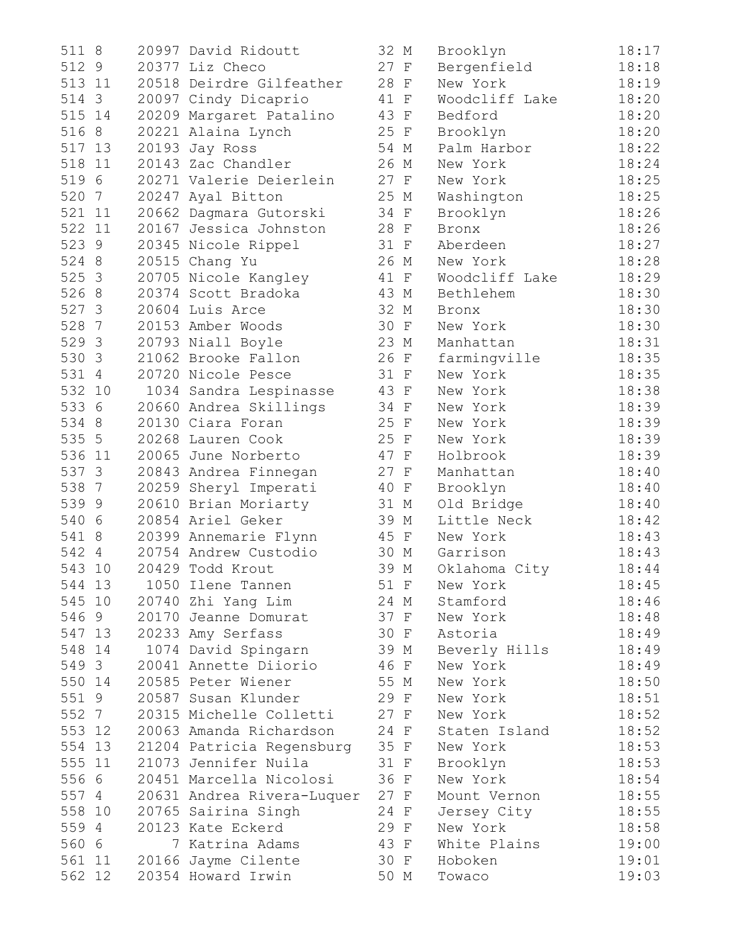511 8 20997 David Ridoutt 32 M Brooklyn 18:17 512 9 20377 Liz Checo 27 F Bergenfield 18:18 513 11 20518 Deirdre Gilfeather 28 F New York 18:19 514 3 20097 Cindy Dicaprio 41 F Woodcliff Lake 18:20 515 14 20209 Margaret Patalino 43 F Bedford 18:20 516 8 20221 Alaina Lynch 25 F Brooklyn 18:20 517 13 20193 Jay Ross 54 M Palm Harbor 18:22 518 11 20143 Zac Chandler 26 M New York 18:24 519 6 20271 Valerie Deierlein 27 F New York 18:25 520 7 20247 Ayal Bitton 25 M Washington 18:25 521 11 20662 Dagmara Gutorski 34 F Brooklyn 18:26 522 11 20167 Jessica Johnston 28 F Bronx 18:26 523 9 20345 Nicole Rippel 31 F Aberdeen 18:27 524 8 20515 Chang Yu 26 M New York 18:28 525 3 20705 Nicole Kangley 41 F Woodcliff Lake 18:29 526 8 20374 Scott Bradoka 43 M Bethlehem 18:30 527 3 20604 Luis Arce 32 M Bronx 18:30 528 7 20153 Amber Woods 30 F New York 18:30 529 3 20793 Niall Boyle 23 M Manhattan 18:31 530 3 21062 Brooke Fallon 26 F farmingville 18:35 531 4 20720 Nicole Pesce 31 F New York 18:35 532 10 1034 Sandra Lespinasse 43 F New York 18:38 533 6 20660 Andrea Skillings 34 F New York 18:39 534 8 20130 Ciara Foran 25 F New York 18:39 535 5 20268 Lauren Cook 25 F New York 18:39 536 11 20065 June Norberto 47 F Holbrook 18:39 537 3 20843 Andrea Finnegan 27 F Manhattan 18:40 538 7 20259 Sheryl Imperati 40 F Brooklyn 18:40 539 9 20610 Brian Moriarty 31 M Old Bridge 18:40 540 6 20854 Ariel Geker 39 M Little Neck 18:42 541 8 20399 Annemarie Flynn 45 F New York 18:43 542 4 20754 Andrew Custodio 30 M Garrison 18:43 543 10 20429 Todd Krout 39 M Oklahoma City 18:44 544 13 1050 Ilene Tannen 51 F New York 18:45 545 10 20740 Zhi Yang Lim 24 M Stamford 18:46 546 9 20170 Jeanne Domurat 37 F New York 18:48 547 13 20233 Amy Serfass 30 F Astoria 18:49 343 10 20740 2011 1209 11m<br>546 9 20170 Jeanne Domurat 3<br>547 13 20233 Amy Serfass 3<br>548 14 1074 David Spingarn 3 549 3 20041 Annette Diiorio 46 F New York 18:49 550 14 20585 Peter Wiener 55 M New York 18:50 551 9 20587 Susan Klunder 29 F New York 18:51 552 7 20315 Michelle Colletti 27 F New York 18:52 553 12 20063 Amanda Richardson 24 F Staten Island 18:52 554 13 21204 Patricia Regensburg 35 F New York 18:53 555 11 21073 Jennifer Nuila 31 F Brooklyn 18:53 556 6 20451 Marcella Nicolosi 36 F New York 18:54 557 4 20631 Andrea Rivera-Luquer 27 F Mount Vernon 18:55 558 10 20765 Sairina Singh 24 F Jersey City 18:55 559 4 20123 Kate Eckerd 29 F New York 18:58 560 6 7 Katrina Adams 43 F White Plains 19:00 561 11 20166 Jayme Cilente 30 F Hoboken 19:01 562 12 20354 Howard Irwin 50 M Towaco 19:03

| 32            | Μ                         | Brooklyn       | 18:17 |
|---------------|---------------------------|----------------|-------|
| 27            | F                         | Bergenfield    | 18:18 |
| 28            | F                         | New York       | 18:19 |
| 11            | $\mathbf F$               | Woodcliff Lake | 18:20 |
| 13            | $\mathbf F$               | Bedford        | 18:20 |
| 25            | $\mathbb F$               | Brooklyn       | 18:20 |
| $\frac{1}{2}$ | $\mathop{\rm M}\nolimits$ | Palm Harbor    | 18:22 |
| 26            | М                         | New York       | 18:24 |
| 27            | F                         | New York       | 18:25 |
| 25            | М                         | Washington     | 18:25 |
| 34            | $\rm F$                   | Brooklyn       | 18:26 |
|               |                           |                |       |
| 28            | F                         | <b>Bronx</b>   | 18:26 |
| 31            | F                         | Aberdeen       | 18:27 |
| 26            | М                         | New York       | 18:28 |
| 11            | F                         | Woodcliff Lake | 18:29 |
| 13            | М                         | Bethlehem      | 18:30 |
| 32            | $\mathop{\rm M}\nolimits$ | <b>Bronx</b>   | 18:30 |
| 30            | $\rm F$                   | New York       | 18:30 |
| 23            | М                         | Manhattan      | 18:31 |
| 26            | F                         | farmingville   | 18:35 |
| 31            | $\mathbb F$               | New York       | 18:35 |
| 13            | $\mathbf F$               | New York       | 18:38 |
| 34            | $\mathbb F$               | New York       | 18:39 |
| 25            | $\mathbf{F}$              | New York       | 18:39 |
| 25            | $\mathbf{F}$              | New York       | 18:39 |
| 17            | $\rm F$                   | Holbrook       | 18:39 |
| 27            | $\mathbf F$               | Manhattan      | 18:40 |
| 10            | F                         | Brooklyn       | 18:40 |
| 31            | М                         | Old Bridge     | 18:40 |
| 39            | $\mathbb M$               | Little Neck    | 18:42 |
| 15            | $\mathbf F$               | New York       | 18:43 |
| 30            | М                         | Garrison       | 18:43 |
| 39            | М                         | Oklahoma City  | 18:44 |
| 51            | F                         | New York       | 18:45 |
| 24            | М                         | Stamford       | 18:46 |
| 37            | $\mathbf F$               | New York       | 18:48 |
| 30            | $\boldsymbol{\mathrm{F}}$ | Astoria        | 18:49 |
| 39            | Μ                         | Beverly Hills  | 18:49 |
| 16            | F                         | New York       | 18:49 |
| 55            | М                         | New York       | 18:50 |
| 29            | F                         | New York       | 18:51 |
| 27            | F                         | New York       | 18:52 |
| 24            |                           | Staten Island  | 18:52 |
| 35            | F                         |                |       |
|               | $\mathbf{F}$              | New York       | 18:53 |
| 31            | F                         | Brooklyn       | 18:53 |
| 36            | F                         | New York       | 18:54 |
| 27            | F                         | Mount Vernon   | 18:55 |
| 24            | F                         | Jersey City    | 18:55 |
| 29            | F                         | New York       | 18:58 |
| 13            | F                         | White Plains   | 19:00 |
| 30            | $_{\rm F}$                | Hoboken        | 19:01 |
| 50            | Μ                         | Towaco         | 19:03 |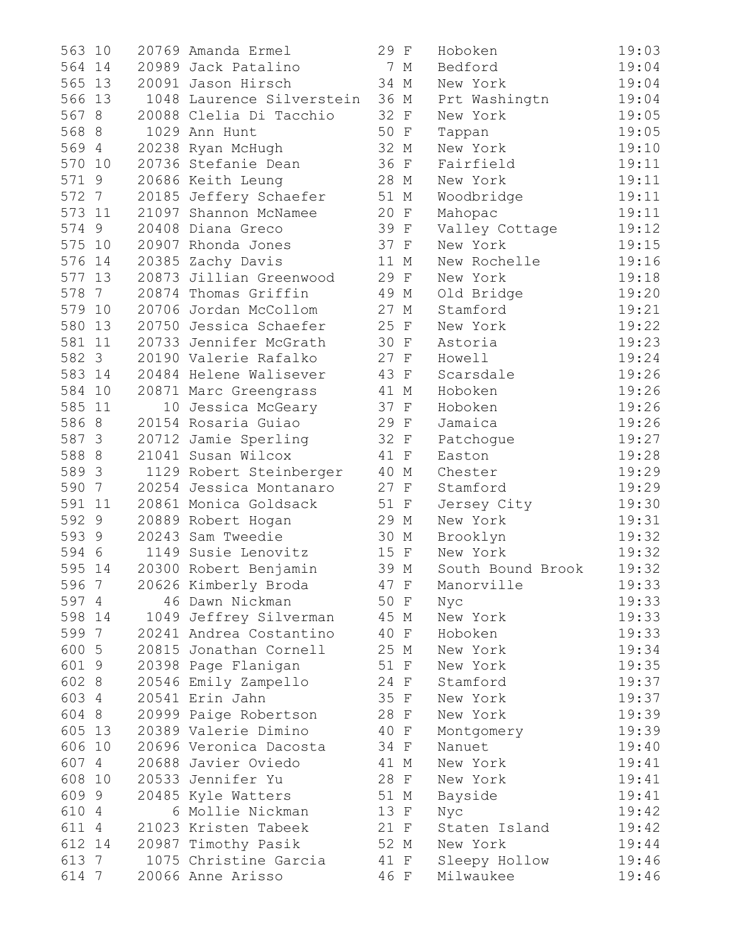| 563<br>10              | 20769 Amanda Ermel             | 29 F | Hoboken           | 19:03 |
|------------------------|--------------------------------|------|-------------------|-------|
| 564<br>14              | 20989 Jack Patalino            | 7 M  | Bedford           | 19:04 |
| 565<br>13              | 20091 Jason Hirsch             | 34 M | New York          | 19:04 |
| 566 13                 | 1048 Laurence Silverstein 36 M |      | Prt Washingtn     | 19:04 |
| 567 8                  | 20088 Clelia Di Tacchio        | 32 F | New York          | 19:05 |
| 568 8                  | 1029 Ann Hunt                  | 50 F | Tappan            | 19:05 |
| 569 4                  | 20238 Ryan McHugh              | 32 M | New York          | 19:10 |
| 570 10                 | 20736 Stefanie Dean            | 36 F | Fairfield         | 19:11 |
| 571 9                  | 20686 Keith Leung              | 28 M | New York          | 19:11 |
| 572 7                  | 20185 Jeffery Schaefer         | 51 M | Woodbridge        | 19:11 |
| 573 11                 | 21097 Shannon McNamee          | 20 F | Mahopac           | 19:11 |
| 574 9                  | 20408 Diana Greco              | 39 F | Valley Cottage    | 19:12 |
| 575<br>10              | 20907 Rhonda Jones             | 37 F | New York          | 19:15 |
| 576<br>14              | 20385 Zachy Davis              | 11 M | New Rochelle      | 19:16 |
| 577<br>13              | 20873 Jillian Greenwood        | 29 F | New York          | 19:18 |
| 578<br>$7\overline{ }$ | 20874 Thomas Griffin           | 49 M | Old Bridge        | 19:20 |
| 579<br>10              | 20706 Jordan McCollom          | 27 M | Stamford          | 19:21 |
| 580<br>13              | 20750 Jessica Schaefer         | 25 F | New York          | 19:22 |
| 581 11                 | 20733 Jennifer McGrath         | 30 F | Astoria           | 19:23 |
| 582 3                  | 20190 Valerie Rafalko          | 27 F | Howell            | 19:24 |
| 583<br>14              | 20484 Helene Walisever         | 43 F | Scarsdale         | 19:26 |
| 584<br>10              | 20871 Marc Greengrass          | 41 M | Hoboken           | 19:26 |
| 585 11                 | 10 Jessica McGeary             | 37 F | Hoboken           | 19:26 |
| 586 8                  | 20154 Rosaria Guiao            | 29 F | Jamaica           | 19:26 |
| 587 3                  | 20712 Jamie Sperling           | 32 F | Patchogue         | 19:27 |
| 588 8                  | 21041 Susan Wilcox             | 41 F | Easton            | 19:28 |
| 589 3                  | 1129 Robert Steinberger        | 40 M | Chester           | 19:29 |
| 590 7                  | 20254 Jessica Montanaro        | 27 F | Stamford          | 19:29 |
| 591<br>11              | 20861 Monica Goldsack          | 51 F | Jersey City       | 19:30 |
| 592 9                  | 20889 Robert Hogan             | 29 M | New York          | 19:31 |
| 593 9                  | 20243 Sam Tweedie              | 30 M | Brooklyn          | 19:32 |
| 594 6                  | 1149 Susie Lenovitz            | 15 F | New York          | 19:32 |
| 595 14                 | 20300 Robert Benjamin          | 39 M | South Bound Brook | 19:32 |
| 596 7                  | 20626 Kimberly Broda           | 47 F | Manorville        | 19:33 |
| 597 4                  | 46 Dawn Nickman                | 50 F | Nyc               | 19:33 |
| 598 14                 | 1049 Jeffrey Silverman         | 45 M | New York          | 19:33 |
| 599 7                  | 20241 Andrea Costantino        | 40 F | Hoboken           | 19:33 |
| 600 5                  | 20815 Jonathan Cornell         | 25 M | New York          | 19:34 |
| 601 9                  | 20398 Page Flanigan            | 51 F | New York          | 19:35 |
| 602 8                  | 20546 Emily Zampello           | 24 F | Stamford          | 19:37 |
| 603 4                  | 20541 Erin Jahn                | 35 F | New York          | 19:37 |
| 604 8                  | 20999 Paige Robertson          | 28 F | New York          | 19:39 |
| 605 13                 | 20389 Valerie Dimino           | 40 F | Montgomery        | 19:39 |
| 606 10                 | 20696 Veronica Dacosta         | 34 F | Nanuet            | 19:40 |
| 607 4                  | 20688 Javier Oviedo            | 41 M | New York          | 19:41 |
| 608 10                 | 20533 Jennifer Yu              | 28 F | New York          | 19:41 |
| 609 9                  | 20485 Kyle Watters             | 51 M | Bayside           | 19:41 |
| 610 4                  | 6 Mollie Nickman               | 13 F | Nyc               | 19:42 |
| 611 4                  | 21023 Kristen Tabeek           | 21 F | Staten Island     | 19:42 |
| 612 14                 | 20987 Timothy Pasik            | 52 M | New York          | 19:44 |
| 613 7                  | 1075 Christine Garcia          | 41 F | Sleepy Hollow     | 19:46 |
| 614 7                  | 20066 Anne Arisso              | 46 F | Milwaukee         | 19:46 |

| 29 | F                         | Hoboken           | 19:03 |
|----|---------------------------|-------------------|-------|
| 7  | М                         | Bedford           | 19:04 |
| 34 | М                         | New York          | 19:04 |
| 36 | $\mathbb M$               | Prt Washingtn     | 19:04 |
| 32 | $\rm F$                   | New York          | 19:05 |
| 50 | $\rm F$                   | Tappan            | 19:05 |
| 32 | М                         | New York          | 19:10 |
| 36 | F                         | Fairfield         | 19:11 |
| 28 | М                         | New York          | 19:11 |
| 51 | М                         | Woodbridge        | 19:11 |
| 20 | $\mathbf F$               | Mahopac           | 19:11 |
| 39 | $\rm F$                   | Valley Cottage    | 19:12 |
| 37 | $\rm F$                   | New York          | 19:15 |
| 11 | М                         | New Rochelle      | 19:16 |
| 29 | $\mathbf F$               | New York          | 19:18 |
| 49 | $\mathop{\rm M}\nolimits$ | Old Bridge        | 19:20 |
| 27 | М                         | Stamford          | 19:21 |
| 25 | $\rm F$                   | New York          | 19:22 |
| 30 |                           | Astoria           | 19:23 |
|    | $\rm F$                   |                   |       |
| 27 | $\rm F$                   | Howell            | 19:24 |
| 43 | $\rm F$                   | Scarsdale         | 19:26 |
| 41 | М                         | Hoboken           | 19:26 |
| 37 | $\mathbf F$               | Hoboken           | 19:26 |
| 29 | $\mathbf F$               | Jamaica           | 19:26 |
| 32 | F                         | Patchogue         | 19:27 |
| 41 | $\mathbf F$               | Easton            | 19:28 |
| 40 | М                         | Chester           | 19:29 |
| 27 | $\rm F$                   | Stamford          | 19:29 |
| 51 | $\mathbf F$               | Jersey City       | 19:30 |
| 29 | М                         | New York          | 19:31 |
| 30 | М                         | Brooklyn          | 19:32 |
| 15 | $\mathbf F$               | New York          | 19:32 |
| 39 | М                         | South Bound Brook | 19:32 |
| 47 | F                         | Manorville        | 19:33 |
| 50 | F                         | Nyc               | 19:33 |
| 45 | М                         | New York          | 19:33 |
| 40 | $\mathbf F$               | Hoboken           | 19:33 |
| 25 | М                         | New York          | 19:34 |
| 51 | $\mathbf F$               | New York          | 19:35 |
| 24 | F                         | Stamford          | 19:37 |
| 35 | $\mathbf F$               | New York          | 19:37 |
| 28 | $\mathbf F$               | New York          | 19:39 |
| 40 | $\rm F$                   | Montgomery        | 19:39 |
| 34 | $\rm F$                   | Nanuet            | 19:40 |
| 41 | М                         | New York          | 19:41 |
| 28 | F                         | New York          | 19:41 |
| 51 | М                         | Bayside           | 19:41 |
| 13 | F                         | Nyc               | 19:42 |
| 21 | F                         | Staten Island     | 19:42 |
| 52 | М                         | New York          | 19:44 |
| 41 | F                         | Sleepy Hollow     | 19:46 |
| 46 | F                         | Milwaukee         | 19:46 |
|    |                           |                   |       |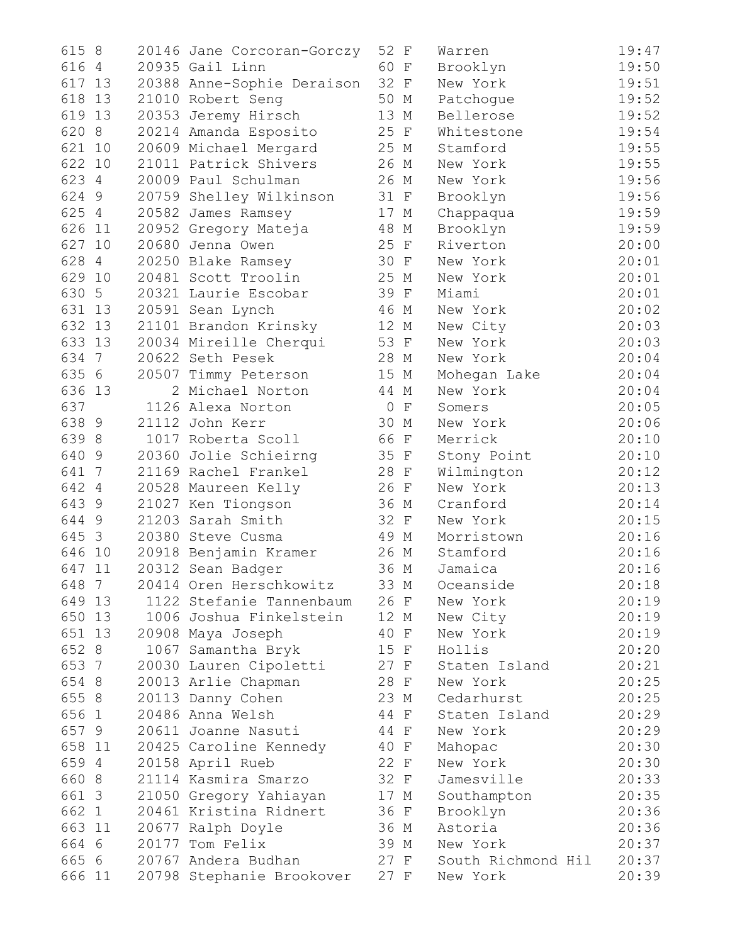| 615 8                 | 20146 Jane Corcoran-Gorczy | 52 F                    | Warren             | 19:47 |
|-----------------------|----------------------------|-------------------------|--------------------|-------|
| 616 4                 | 20935 Gail Linn            | 60 F                    | Brooklyn           | 19:50 |
| 617<br>13             | 20388 Anne-Sophie Deraison | 32 F                    | New York           | 19:51 |
| 618<br>13             | 21010 Robert Seng          | 50 M                    | Patchogue          | 19:52 |
| 619<br>13             | 20353 Jeremy Hirsch        | 13 M                    | Bellerose          | 19:52 |
| 620<br>8              | 20214 Amanda Esposito      | 25 F                    | Whitestone         | 19:54 |
| 621<br>10             | 20609 Michael Mergard      | 25 M                    | Stamford           | 19:55 |
| 622 10                | 21011 Patrick Shivers      | 26 M                    | New York           | 19:55 |
| 623 4                 | 20009 Paul Schulman        | 26 M                    | New York           | 19:56 |
| 624 9                 | 20759 Shelley Wilkinson    | 31 F                    | Brooklyn           | 19:56 |
| 625 4                 | 20582 James Ramsey         | 17 M                    | Chappaqua          | 19:59 |
| 626 11                | 20952 Gregory Mateja       | 48 M                    | Brooklyn           | 19:59 |
| 627<br>10             | 20680 Jenna Owen           | 25 F                    | Riverton           | 20:00 |
| 628 4                 | 20250 Blake Ramsey         | 30 F                    | New York           | 20:01 |
| 629 10                | 20481 Scott Troolin        | 25 M                    | New York           | 20:01 |
| 630 5                 | 20321 Laurie Escobar       | 39 F                    | Miami              | 20:01 |
| 631<br>13             | 20591 Sean Lynch           | 46 M                    | New York           | 20:02 |
| 632<br>13             | 21101 Brandon Krinsky      | 12 M                    | New City           | 20:03 |
| 633 13                | 20034 Mireille Cherqui     | 53 F                    | New York           | 20:03 |
| 634 7                 | 20622 Seth Pesek           | 28 M                    | New York           | 20:04 |
| 635 6                 | 20507 Timmy Peterson       | 15 M                    | Mohegan Lake       | 20:04 |
| 636 13                | 2 Michael Norton           | 44 M                    | New York           | 20:04 |
| 637                   | 1126 Alexa Norton          | $\circ$<br>$\mathbf{F}$ | Somers             | 20:05 |
| 638 9                 | 21112 John Kerr            | 30 M                    | New York           | 20:06 |
| 639 8                 | 1017 Roberta Scoll         | 66 F                    | Merrick            | 20:10 |
| 640 9                 | 20360 Jolie Schieirng      | 35 F                    | Stony Point        | 20:10 |
| 641 7                 | 21169 Rachel Frankel       | 28 F                    | Wilmington         | 20:12 |
| 642<br>$\overline{4}$ | 20528 Maureen Kelly        | 26 F                    | New York           | 20:13 |
| 643 9                 | 21027 Ken Tiongson         | 36 M                    | Cranford           | 20:14 |
| 644 9                 | 21203 Sarah Smith          | 32 F                    | New York           | 20:15 |
| 645 3                 | 20380 Steve Cusma          | 49 M                    | Morristown         | 20:16 |
| 646<br>10             | 20918 Benjamin Kramer      | 26 M                    | Stamford           | 20:16 |
| 647<br>11             | 20312 Sean Badger          | 36 M                    | Jamaica            | 20:16 |
| 648 7                 | 20414 Oren Herschkowitz    | 33 M                    | Oceanside          | 20:18 |
| 649 13                | 1122 Stefanie Tannenbaum   | 26 F                    | New York           | 20:19 |
| 650 13                | 1006 Joshua Finkelstein    | 12 M                    | New City           | 20:19 |
| 651 13                | 20908 Maya Joseph          | 40 F                    | New York           | 20:19 |
| 652 8                 | 1067 Samantha Bryk         | 15 F                    | Hollis             | 20:20 |
| 653 7                 | 20030 Lauren Cipoletti     | 27 F                    | Staten Island      | 20:21 |
| 654 8                 | 20013 Arlie Chapman        | 28 F                    | New York           | 20:25 |
| 655 8                 | 20113 Danny Cohen          | 23 M                    | Cedarhurst         | 20:25 |
| 656 1                 | 20486 Anna Welsh           | 44 F                    | Staten Island      | 20:29 |
| 657 9                 | 20611 Joanne Nasuti        | 44 F                    | New York           | 20:29 |
| 658 11                | 20425 Caroline Kennedy     | 40 F                    | Mahopac            | 20:30 |
| 659 4                 | 20158 April Rueb           | 22 F                    | New York           | 20:30 |
| 660 8                 | 21114 Kasmira Smarzo       | 32 F                    | Jamesville         | 20:33 |
| 661 3                 | 21050 Gregory Yahiayan     | 17 M                    | Southampton        | 20:35 |
| 662 1                 | 20461 Kristina Ridnert     | 36 F                    | Brooklyn           | 20:36 |
| 663 11                | 20677 Ralph Doyle          | 36 M                    | Astoria            | 20:36 |
| 664 6                 | 20177 Tom Felix            | 39 M                    | New York           | 20:37 |
| 665 6                 | 20767 Andera Budhan        | 27 F                    | South Richmond Hil | 20:37 |
| 666 11                | 20798 Stephanie Brookover  | 27 F                    | New York           | 20:39 |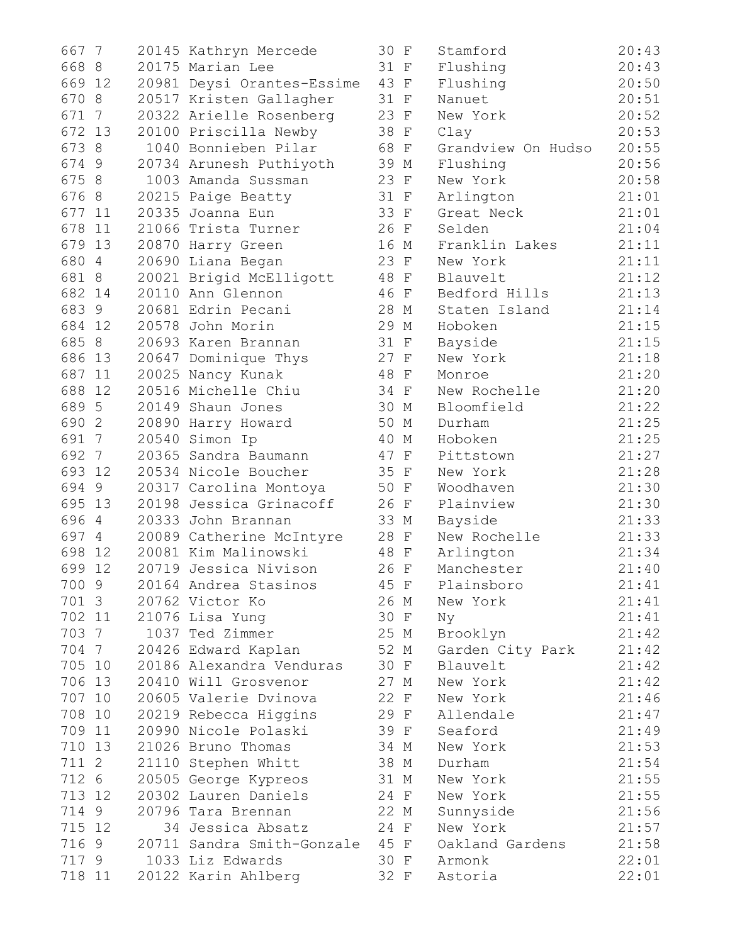| 667<br>$\overline{7}$  | 20145 Kathryn Mercede           | 30 F |      | Stamford           | 20:43 |
|------------------------|---------------------------------|------|------|--------------------|-------|
| 668 8                  | 20175 Marian Lee                | 31 F |      | Flushing           | 20:43 |
| 669<br>12              | 20981 Deysi Orantes-Essime      | 43 F |      | Flushing           | 20:50 |
| 670 8                  | 20517 Kristen Gallagher         | 31 F |      | Nanuet             | 20:51 |
| 671<br>$7\phantom{.0}$ | 20322 Arielle Rosenberg         | 23 F |      | New York           | 20:52 |
| 672<br>13              | 20100 Priscilla Newby           | 38 F |      | Clay               | 20:53 |
| 673 8                  | 1040 Bonnieben Pilar            | 68 F |      | Grandview On Hudso | 20:55 |
| 674 9                  | 20734 Arunesh Puthiyoth         | 39 M |      | Flushing           | 20:56 |
| 675 8                  | 1003 Amanda Sussman             | 23 F |      | New York           | 20:58 |
| 676 8                  | 20215 Paige Beatty              | 31 F |      | Arlington          | 21:01 |
| 677<br>11              | 20335 Joanna Eun                | 33 F |      | Great Neck         | 21:01 |
| 678<br>11              | 21066 Trista Turner             | 26 F |      | Selden             | 21:04 |
| 679<br>13              | 20870 Harry Green               | 16 M |      | Franklin Lakes     | 21:11 |
| 680<br>$\overline{4}$  | 20690 Liana Began               | 23 F |      | New York           | 21:11 |
| 681 8                  | 20021 Brigid McElligott         | 48 F |      | Blauvelt           | 21:12 |
| 682 14                 | 20110 Ann Glennon               | 46 F |      | Bedford Hills      | 21:13 |
| 683 9                  | 20681 Edrin Pecani              | 28 M |      | Staten Island      | 21:14 |
| 684 12                 | 20578 John Morin                | 29 M |      | Hoboken            | 21:15 |
| 685 8                  | 20693 Karen Brannan             | 31 F |      | Bayside            | 21:15 |
| 686<br>13              | 20647 Dominique Thys            | 27 F |      | New York           | 21:18 |
| 687<br>11              | 20025 Nancy Kunak               | 48 F |      | Monroe             | 21:20 |
| 688<br>12              | 20516 Michelle Chiu             | 34 F |      | New Rochelle       | 21:20 |
| 689 5                  | 20149 Shaun Jones               | 30 M |      | Bloomfield         | 21:22 |
| 690 2                  | 20890 Harry Howard              | 50 M |      | Durham             | 21:25 |
| 691 7                  | 20540 Simon Ip                  | 40 M |      | Hoboken            | 21:25 |
| 692 7                  | 20365 Sandra Baumann            | 47 F |      | Pittstown          | 21:27 |
| 693<br>12              | 20534 Nicole Boucher            | 35 F |      | New York           | 21:28 |
| 694 9                  | 20317 Carolina Montoya          | 50 F |      | Woodhaven          | 21:30 |
| 695<br>13              | 20198 Jessica Grinacoff         | 26 F |      | Plainview          | 21:30 |
| 696 4                  | 20333 John Brannan              | 33 M |      | Bayside            | 21:33 |
| 697 4                  | 20089 Catherine McIntyre        | 28 F |      | New Rochelle       | 21:33 |
| 698<br>12              | 20081 Kim Malinowski            | 48 F |      | Arlington          | 21:34 |
| 699<br>12              | 20719 Jessica Nivison           | 26 F |      | Manchester         | 21:40 |
| 700 9                  | 20164 Andrea Stasinos           | 45 F |      | Plainsboro         | 21:41 |
| 701 3                  | 20762 Victor Ko                 | 26 M |      | New York           | 21:41 |
| 702 11                 | 21076 Lisa Yung                 | 30 F |      | Nу                 | 21:41 |
| 703 7                  | 1037 Ted Zimmer                 | 25 M |      | Brooklyn           | 21:42 |
| 704 7                  | 20426 Edward Kaplan             | 52 M |      | Garden City Park   | 21:42 |
| 705 10                 | 20186 Alexandra Venduras        | 30 F |      | Blauvelt           | 21:42 |
| 706 13                 | 20410 Will Grosvenor            | 27 M |      | New York           | 21:42 |
| 707 10                 | 20605 Valerie Dvinova           | 22 F |      | New York           | 21:46 |
| 708 10                 | 20219 Rebecca Higgins           | 29 F |      | Allendale          | 21:47 |
| 709 11                 | 20990 Nicole Polaski            | 39 F |      | Seaford            | 21:49 |
| 710 13                 | 21026 Bruno Thomas              | 34 M |      | New York           | 21:53 |
| 711 2                  | 21110 Stephen Whitt             | 38 M |      | Durham             | 21:54 |
| 712 6                  | 20505 George Kypreos            | 31 M |      | New York           | 21:55 |
| 713 12                 | 20302 Lauren Daniels            | 24 F |      | New York           | 21:55 |
| 714 9                  | 20796 Tara Brennan              | 22 M |      | Sunnyside          | 21:56 |
| 715 12                 | 34 Jessica Absatz               | 24 F |      | New York           | 21:57 |
| 716 9                  | 20711 Sandra Smith-Gonzale 45 F |      |      | Oakland Gardens    | 21:58 |
| 717 9                  | 1033 Liz Edwards                |      | 30 F | Armonk             | 22:01 |
| 718 11                 | 20122 Karin Ahlberg             |      | 32 F | Astoria            | 22:01 |

| 0              | F                         | Stamford                | 20:43          |
|----------------|---------------------------|-------------------------|----------------|
| 1              | F                         | Flushing                | 20:43          |
| 3              | $\boldsymbol{\mathrm{F}}$ | Flushing                | 20:50          |
| 1              | F                         | Nanuet                  | 20:51          |
| 3              | F                         | New York                | 20:52          |
| 8              | F                         | Clay                    | 20:53          |
| 8              | F                         | Grandview On Hudso      | 20:55          |
| 9              | М                         | Flushing                | 20:56          |
| 3              | F                         | New York                | 20:58          |
| 1              | F                         | Arlington               | 21:01          |
| 3              | $\boldsymbol{\mathrm{F}}$ | Great Neck              | 21:01          |
| 6              | F                         | Selden                  | 21:04          |
| 6              | М                         | Franklin<br>Lakes       | 21:11          |
| 3              | F                         | New York                | 21:11          |
| 8              | F                         | Blauvelt                | 21:12          |
| 6              | F                         | Bedford Hills           | 21:13          |
| 8              | М                         | Staten Island           | 21:14          |
| 9              | М                         | Hoboken                 | 21:15          |
| 1              | $\mathbf F$               | Bayside                 | 21:15          |
| 7              | F                         | New York                | 21:18          |
| 8              | F                         | Monroe                  | 21:20          |
| 4              | F                         | New Rochelle            | 21:20          |
| 0              | М                         | Bloomfield              | 21:22          |
| 0              | М                         | Durham                  | 21:25          |
| 0              | М                         | Hoboken                 | 21:25          |
| 7              | F                         | Pittstown               | 21:27          |
| 5              | F                         | New York                | 21:28          |
| 0              | F                         | Woodhaven               | 21:30          |
| 6              |                           | Plainview               | 21:30          |
| 3              | F                         | Bayside                 | 21:33          |
| 8              | М                         | New Rochelle            |                |
| 8              | F                         |                         | 21:33<br>21:34 |
| 6              | F                         | Arlington<br>Manchester | 21:40          |
|                | F                         |                         |                |
| 5              | F                         | Plainsboro              | 21:41          |
| 6              | М                         | New York                | 21:41          |
| 0              | $\rm F$                   | Nу                      | 21:41          |
| 5              | М                         | Brooklyn                | 21:42          |
| 2              | М                         | Garden City Park        | 21:42          |
| 0              | $\mathbf F$               | Blauvelt                | 21:42          |
| 7              | М                         | New York                | 21:42          |
| $\overline{c}$ | F                         | New York                | 21:46          |
| 9              | F                         | Allendale               | 21:47          |
| 9              | $\mathbf F$               | Seaford                 | 21:49          |
| 4              | М                         | New York                | 21:53          |
| 8              | М                         | Durham                  | 21:54          |
| 1              | М                         | New York                | 21:55          |
| 4              | F                         | New York                | 21:55          |
| 2              | М                         | Sunnyside               | 21:56          |
| 4              | $\rm F$                   | New York                | 21:57          |
| 5              | $\mathbb F$               | Oakland Gardens         | 21:58          |
| 0              | F                         | Armonk                  | 22:01          |
| $\mathbf{2}$   | F                         | Astoria                 | 22:01          |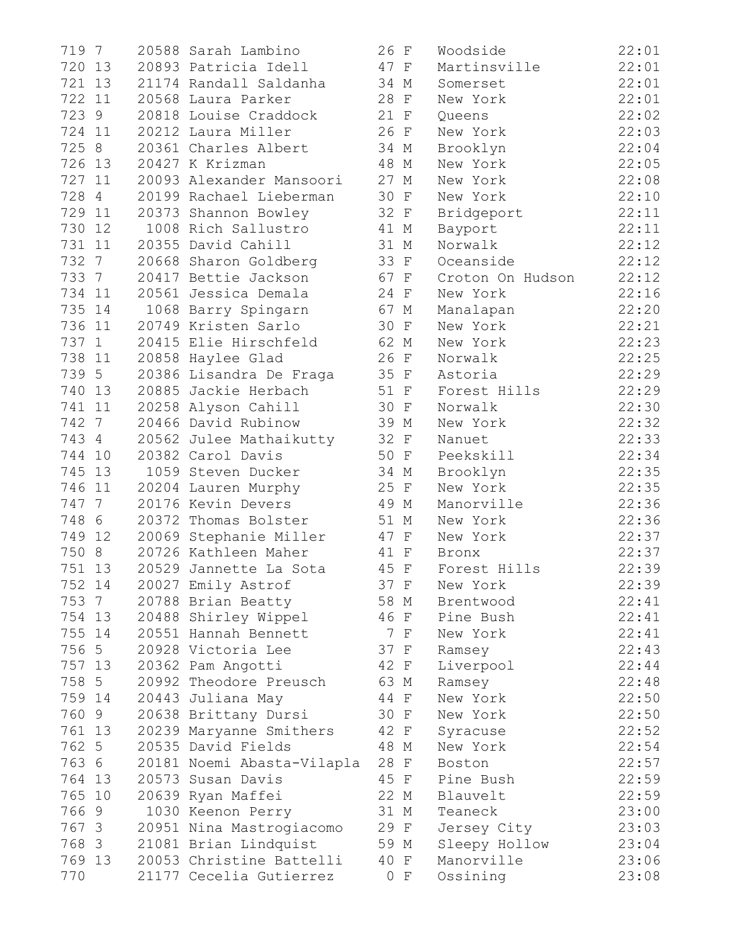| 719 7     | 20588 Sarah Lambino        | 26 F | Woodside         | 22:01 |
|-----------|----------------------------|------|------------------|-------|
| 720 13    | 20893 Patricia Idell       | 47 F | Martinsville     | 22:01 |
| 721 13    | 21174 Randall Saldanha     | 34 M | Somerset         | 22:01 |
| 722 11    | 20568 Laura Parker         | 28 F | New York         | 22:01 |
| 723 9     | 20818 Louise Craddock      | 21 F | Queens           | 22:02 |
| 724 11    | 20212 Laura Miller         | 26 F | New York         | 22:03 |
| 725 8     | 20361 Charles Albert       | 34 M | Brooklyn         | 22:04 |
| 726 13    | 20427 K Krizman            | 48 M | New York         | 22:05 |
| 727 11    | 20093 Alexander Mansoori   | 27 M | New York         | 22:08 |
| 728 4     | 20199 Rachael Lieberman    | 30 F | New York         | 22:10 |
| 729 11    | 20373 Shannon Bowley       | 32 F | Bridgeport       | 22:11 |
| 730 12    | 1008 Rich Sallustro        | 41 M | Bayport          | 22:11 |
| 731 11    | 20355 David Cahill         | 31 M | Norwalk          | 22:12 |
| 732 7     | 20668 Sharon Goldberg      | 33 F | Oceanside        | 22:12 |
| 733 7     | 20417 Bettie Jackson       | 67 F | Croton On Hudson | 22:12 |
| 734 11    | 20561 Jessica Demala       | 24 F | New York         | 22:16 |
| 735 14    | 1068 Barry Spingarn        | 67 M | Manalapan        | 22:20 |
| 736 11    | 20749 Kristen Sarlo        | 30 F | New York         | 22:21 |
| 737 1     | 20415 Elie Hirschfeld      | 62 M | New York         | 22:23 |
| 738 11    | 20858 Haylee Glad          | 26 F | Norwalk          | 22:25 |
| 739 5     | 20386 Lisandra De Fraga    | 35 F | Astoria          | 22:29 |
| 740 13    | 20885 Jackie Herbach       | 51 F | Forest Hills     | 22:29 |
| 741 11    | 20258 Alyson Cahill        | 30 F | Norwalk          | 22:30 |
| 742 7     | 20466 David Rubinow        | 39 M | New York         | 22:32 |
| 743 4     | 20562 Julee Mathaikutty    | 32 F | Nanuet           | 22:33 |
| 744 10    | 20382 Carol Davis          | 50 F | Peekskill        | 22:34 |
| 745 13    | 1059 Steven Ducker         | 34 M | Brooklyn         | 22:35 |
| 746<br>11 | 20204 Lauren Murphy        | 25 F | New York         | 22:35 |
| 747 7     | 20176 Kevin Devers         | 49 M | Manorville       | 22:36 |
| 748 6     | 20372 Thomas Bolster       | 51 M | New York         | 22:36 |
| 749 12    | 20069 Stephanie Miller     | 47 F | New York         | 22:37 |
| 750 8     | 20726 Kathleen Maher       | 41 F | Bronx            | 22:37 |
| 751 13    | 20529 Jannette La Sota     | 45 F | Forest Hills     | 22:39 |
| 752 14    | 20027 Emily Astrof         | 37 F | New York         | 22:39 |
| 753 7     | 20788 Brian Beatty         | 58 M | Brentwood        | 22:41 |
| 754 13    | 20488 Shirley Wippel       | 46 F | Pine Bush        | 22:41 |
| 755 14    | 20551 Hannah Bennett       | 7 F  | New York         | 22:41 |
| 756 5     | 20928 Victoria Lee         | 37 F | Ramsey           | 22:43 |
| 757 13    | 20362 Pam Angotti          | 42 F | Liverpool        | 22:44 |
| 758 5     | 20992 Theodore Preusch     | 63 M | Ramsey           | 22:48 |
| 759 14    | 20443 Juliana May          | 44 F | New York         | 22:50 |
| 760 9     | 20638 Brittany Dursi       | 30 F | New York         | 22:50 |
| 761 13    | 20239 Maryanne Smithers    | 42 F | Syracuse         | 22:52 |
| 762 5     | 20535 David Fields         | 48 M | New York         | 22:54 |
| 763 6     | 20181 Noemi Abasta-Vilapla | 28 F | Boston           | 22:57 |
| 764 13    | 20573 Susan Davis          | 45 F | Pine Bush        | 22:59 |
| 765 10    | 20639 Ryan Maffei          | 22 M | Blauvelt         | 22:59 |
| 7669      | 1030 Keenon Perry          | 31 M | Teaneck          | 23:00 |
| 767 3     | 20951 Nina Mastrogiacomo   | 29 F | Jersey City      | 23:03 |
| 768 3     | 21081 Brian Lindquist      | 59 M | Sleepy Hollow    | 23:04 |
| 769 13    | 20053 Christine Battelli   | 40 F | Manorville       | 23:06 |
| 770       | 21177 Cecelia Gutierrez    | 0 F  | Ossining         | 23:08 |
|           |                            |      |                  |       |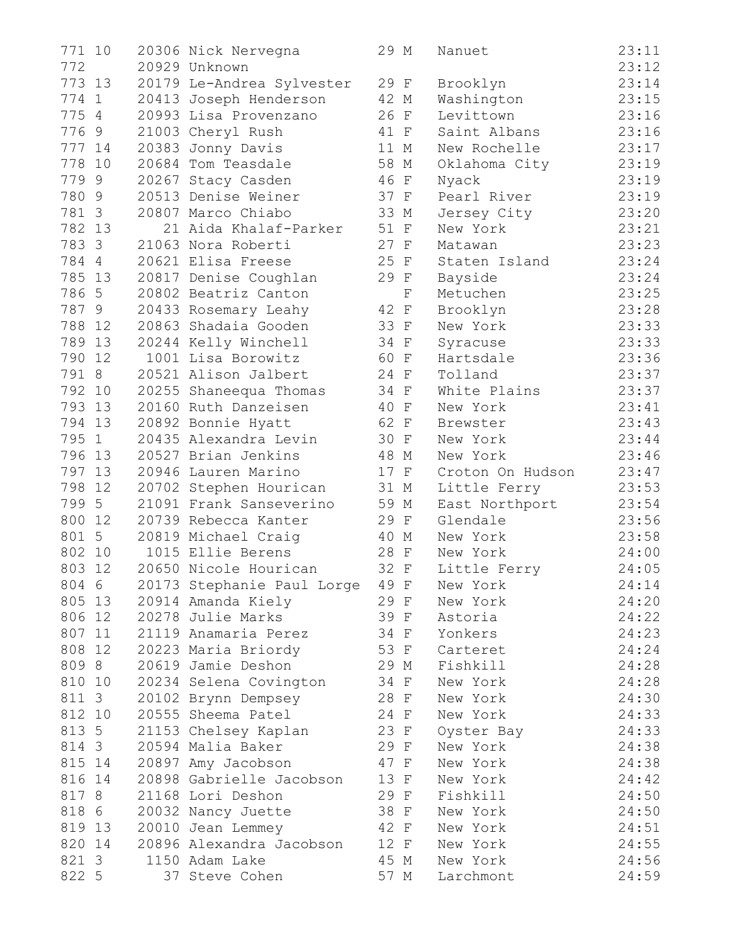| 771 10 |        | 20306 Nick Nervegna        | 29 M |             | Nanuet           | 23:11 |
|--------|--------|----------------------------|------|-------------|------------------|-------|
| 772    |        | 20929 Unknown              |      |             |                  | 23:12 |
| 773 13 |        | 20179 Le-Andrea Sylvester  | 29 F |             | Brooklyn         | 23:14 |
| 774 1  |        | 20413 Joseph Henderson     | 42 M |             | Washington       | 23:15 |
| 775 4  |        | 20993 Lisa Provenzano      | 26 F |             | Levittown        | 23:16 |
| 7769   |        | 21003 Cheryl Rush          | 41 F |             | Saint Albans     | 23:16 |
| 777 14 |        | 20383 Jonny Davis          | 11 M |             | New Rochelle     | 23:17 |
| 778 10 |        | 20684 Tom Teasdale         | 58 M |             | Oklahoma City    | 23:19 |
| 7799   |        | 20267 Stacy Casden         | 46 F |             | Nyack            | 23:19 |
| 780 9  |        | 20513 Denise Weiner        | 37 F |             | Pearl River      | 23:19 |
| 781 3  |        | 20807 Marco Chiabo         | 33 M |             | Jersey City      | 23:20 |
| 782 13 |        | 21 Aida Khalaf-Parker      | 51 F |             | New York         | 23:21 |
|        | 783 3  | 21063 Nora Roberti         | 27 F |             | Matawan          | 23:23 |
|        | 784 4  | 20621 Elisa Freese         | 25 F |             | Staten Island    | 23:24 |
| 785 13 |        | 20817 Denise Coughlan      | 29 F |             | Bayside          | 23:24 |
| 786 5  |        | 20802 Beatriz Canton       |      | $\mathbf F$ | Metuchen         | 23:25 |
|        | 787 9  | 20433 Rosemary Leahy       | 42 F |             | Brooklyn         | 23:28 |
|        | 788 12 | 20863 Shadaia Gooden       | 33 F |             | New York         | 23:33 |
|        | 789 13 | 20244 Kelly Winchell       | 34 F |             | Syracuse         | 23:33 |
| 790 12 |        | 1001 Lisa Borowitz         | 60 F |             | Hartsdale        | 23:36 |
|        | 791 8  | 20521 Alison Jalbert       | 24 F |             | Tolland          | 23:37 |
|        | 792 10 | 20255 Shaneequa Thomas     | 34 F |             | White Plains     | 23:37 |
|        | 793 13 | 20160 Ruth Danzeisen       | 40 F |             | New York         | 23:41 |
| 794 13 |        | 20892 Bonnie Hyatt         | 62 F |             | Brewster         | 23:43 |
|        | 795 1  | 20435 Alexandra Levin      | 30 F |             | New York         | 23:44 |
|        | 796 13 | 20527 Brian Jenkins        | 48 M |             | New York         | 23:46 |
| 797 13 |        | 20946 Lauren Marino        | 17 F |             | Croton On Hudson | 23:47 |
| 798    | 12     | 20702 Stephen Hourican     | 31 M |             | Little Ferry     | 23:53 |
| 799 5  |        | 21091 Frank Sanseverino    | 59 M |             | East Northport   | 23:54 |
| 800    | 12     | 20739 Rebecca Kanter       | 29 F |             | Glendale         | 23:56 |
|        | 801 5  | 20819 Michael Craig        | 40 M |             | New York         | 23:58 |
| 802    | 10     | 1015 Ellie Berens          | 28 F |             | New York         | 24:00 |
| 803 12 |        | 20650 Nicole Hourican      | 32 F |             | Little Ferry     | 24:05 |
| 804 6  |        | 20173 Stephanie Paul Lorge | 49 F |             | New York         | 24:14 |
|        | 805 13 | 20914 Amanda Kiely         | 29 F |             | New York         | 24:20 |
|        | 806 12 | 20278 Julie Marks          | 39 F |             | Astoria          | 24:22 |
|        | 807 11 | 21119 Anamaria Perez       | 34 F |             | Yonkers          | 24:23 |
| 808 12 |        | 20223 Maria Briordy        | 53 F |             | Carteret         | 24:24 |
| 809 8  |        | 20619 Jamie Deshon         | 29 M |             | Fishkill         | 24:28 |
| 810 10 |        | 20234 Selena Covington     | 34 F |             | New York         | 24:28 |
| 811 3  |        | 20102 Brynn Dempsey        | 28 F |             | New York         | 24:30 |
| 812 10 |        | 20555 Sheema Patel         | 24 F |             | New York         | 24:33 |
| 813 5  |        | 21153 Chelsey Kaplan       | 23 F |             | Oyster Bay       | 24:33 |
|        | 814 3  | 20594 Malia Baker          | 29 F |             | New York         | 24:38 |
| 815 14 |        | 20897 Amy Jacobson         | 47 F |             | New York         | 24:38 |
| 816 14 |        | 20898 Gabrielle Jacobson   | 13 F |             | New York         | 24:42 |
| 817 8  |        | 21168 Lori Deshon          | 29 F |             | Fishkill         | 24:50 |
|        | 818 6  | 20032 Nancy Juette         | 38 F |             | New York         | 24:50 |
|        | 819 13 | 20010 Jean Lemmey          | 42 F |             | New York         | 24:51 |
|        | 820 14 | 20896 Alexandra Jacobson   | 12 F |             | New York         | 24:55 |
| 821 3  |        | 1150 Adam Lake             | 45 M |             | New York         | 24:56 |
| 822 5  |        | 37 Steve Cohen             | 57 M |             | Larchmont        | 24:59 |
|        |        |                            |      |             |                  |       |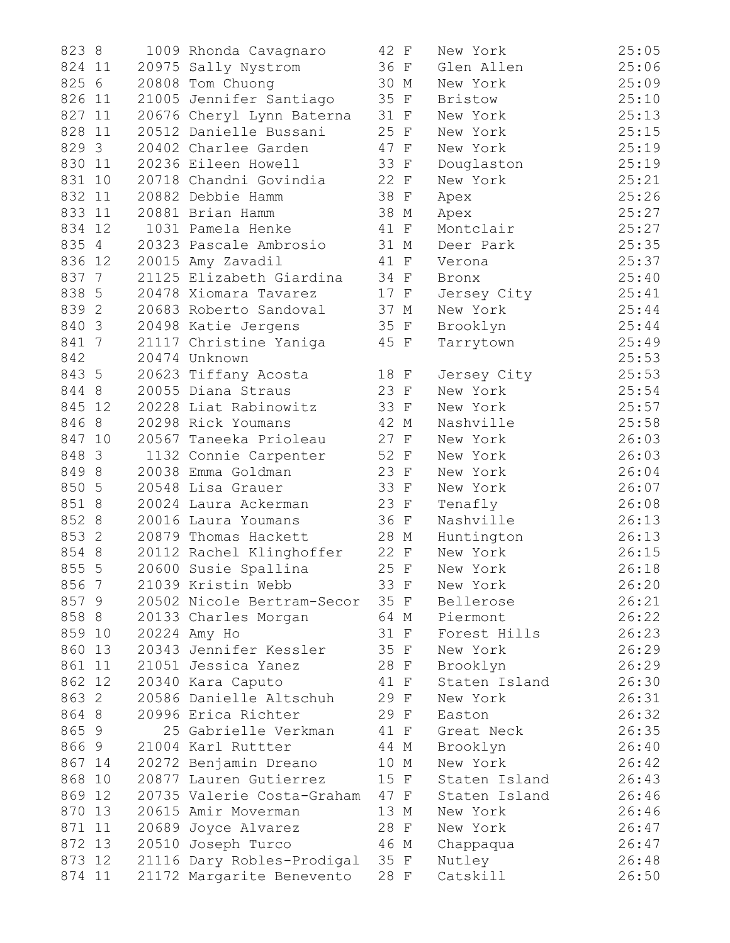| 823 8     | 1009 Rhonda Cavagnaro      | 42 F | New York      | 25:05 |
|-----------|----------------------------|------|---------------|-------|
| 824 11    | 20975 Sally Nystrom        | 36 F | Glen Allen    | 25:06 |
| 825 6     | 20808 Tom Chuong           | 30 M | New York      | 25:09 |
| 826 11    | 21005 Jennifer Santiago    | 35 F | Bristow       | 25:10 |
| 827 11    | 20676 Cheryl Lynn Baterna  | 31 F | New York      | 25:13 |
| 828<br>11 | 20512 Danielle Bussani     | 25 F | New York      | 25:15 |
| 829 3     | 20402 Charlee Garden       | 47 F | New York      | 25:19 |
| 830 11    | 20236 Eileen Howell        | 33 F | Douglaston    | 25:19 |
| 831<br>10 | 20718 Chandni Govindia     | 22 F | New York      | 25:21 |
| 832 11    | 20882 Debbie Hamm          | 38 F | Apex          | 25:26 |
| 833 11    | 20881 Brian Hamm           | 38 M | Apex          | 25:27 |
| 834 12    | 1031 Pamela Henke          | 41 F | Montclair     | 25:27 |
| 835 4     | 20323 Pascale Ambrosio     | 31 M | Deer Park     | 25:35 |
| 836 12    | 20015 Amy Zavadil          | 41 F | Verona        | 25:37 |
| 837 7     | 21125 Elizabeth Giardina   | 34 F | Bronx         | 25:40 |
| 838 5     | 20478 Xiomara Tavarez      | 17 F | Jersey City   | 25:41 |
| 839 2     | 20683 Roberto Sandoval     | 37 M | New York      | 25:44 |
| 840 3     | 20498 Katie Jergens        | 35 F | Brooklyn      | 25:44 |
| 841 7     | 21117 Christine Yaniga     | 45 F | Tarrytown     | 25:49 |
| 842       | 20474 Unknown              |      |               | 25:53 |
| 843 5     | 20623 Tiffany Acosta       | 18 F | Jersey City   | 25:53 |
| 844 8     | 20055 Diana Straus         | 23 F | New York      | 25:54 |
| 845 12    | 20228 Liat Rabinowitz      | 33 F | New York      | 25:57 |
| 846 8     | 20298 Rick Youmans         | 42 M | Nashville     | 25:58 |
| 847 10    | 20567 Taneeka Prioleau     | 27 F | New York      | 26:03 |
| 848 3     | 1132 Connie Carpenter      | 52 F | New York      | 26:03 |
| 849 8     | 20038 Emma Goldman         | 23 F | New York      | 26:04 |
| 850 5     | 20548 Lisa Grauer          | 33 F | New York      | 26:07 |
| 851 8     | 20024 Laura Ackerman       | 23 F | Tenafly       | 26:08 |
| 852 8     | 20016 Laura Youmans        | 36 F | Nashville     | 26:13 |
| 853 2     | 20879 Thomas Hackett       | 28 M | Huntington    | 26:13 |
| 854 8     | 20112 Rachel Klinghoffer   | 22 F | New York      | 26:15 |
| 855 5     | 20600 Susie Spallina       | 25 F | New York      | 26:18 |
| 856 7     | 21039 Kristin Webb         | 33 F | New York      | 26:20 |
| 857 9     | 20502 Nicole Bertram-Secor | 35 F | Bellerose     | 26:21 |
| 858 8     | 20133 Charles Morgan       | 64 M | Piermont      | 26:22 |
| 859 10    | 20224 Amy Ho               | 31 F | Forest Hills  | 26:23 |
| 860 13    | 20343 Jennifer Kessler     | 35 F | New York      | 26:29 |
| 861 11    | 21051 Jessica Yanez        | 28 F | Brooklyn      | 26:29 |
| 862 12    | 20340 Kara Caputo          | 41 F | Staten Island | 26:30 |
| 863 2     | 20586 Danielle Altschuh    | 29 F | New York      | 26:31 |
| 864 8     | 20996 Erica Richter        | 29 F | Easton        | 26:32 |
| 865 9     | 25 Gabrielle Verkman       | 41 F | Great Neck    | 26:35 |
| 8669      | 21004 Karl Ruttter         | 44 M | Brooklyn      | 26:40 |
| 867 14    | 20272 Benjamin Dreano      | 10 M | New York      | 26:42 |
| 868<br>10 | 20877 Lauren Gutierrez     | 15 F | Staten Island | 26:43 |
| 869 12    | 20735 Valerie Costa-Graham | 47 F | Staten Island | 26:46 |
| 870<br>13 | 20615 Amir Moverman        | 13 M | New York      | 26:46 |
| 871<br>11 | 20689 Joyce Alvarez        | 28 F | New York      | 26:47 |
| 872 13    | 20510 Joseph Turco         | 46 M | Chappaqua     | 26:47 |
| 873 12    | 21116 Dary Robles-Prodigal | 35 F | Nutley        | 26:48 |
| 874 11    | 21172 Margarite Benevento  | 28 F | Catskill      | 26:50 |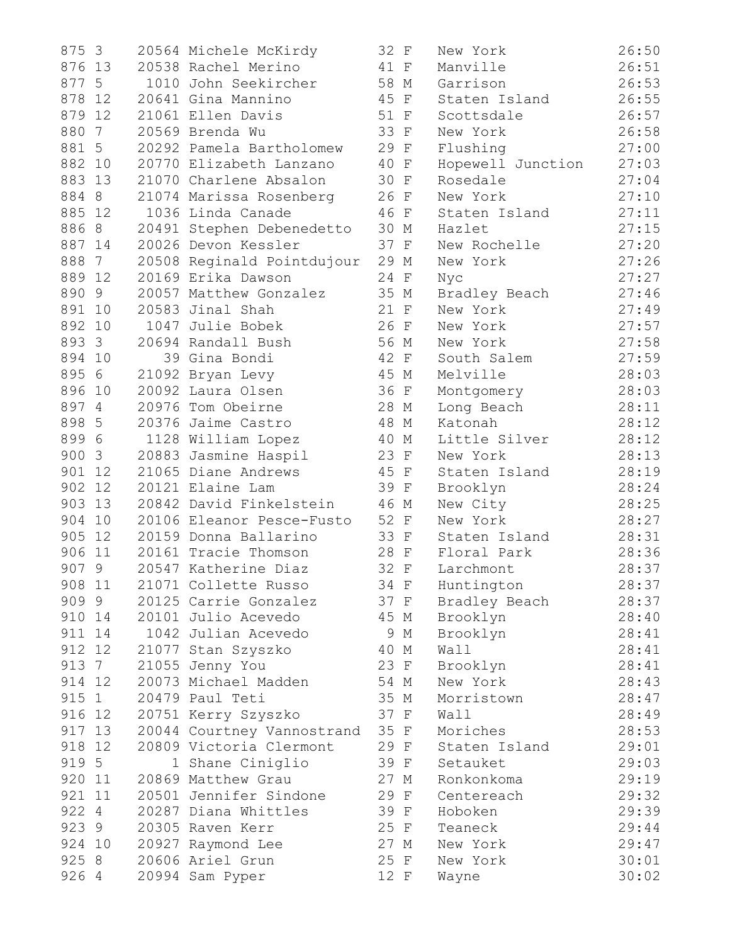| 875 3                  | 20564 Michele McKirdy      | 32 F | New York          | 26:50 |
|------------------------|----------------------------|------|-------------------|-------|
| 876 13                 | 20538 Rachel Merino        | 41 F | Manville          | 26:51 |
| 877 5                  | 1010 John Seekircher       | 58 M | Garrison          | 26:53 |
| 878<br>12              | 20641 Gina Mannino         | 45 F | Staten Island     | 26:55 |
| 879 12                 | 21061 Ellen Davis          | 51 F | Scottsdale        | 26:57 |
| 880<br>$7\overline{ }$ | 20569 Brenda Wu            | 33 F | New York          | 26:58 |
| 881 5                  | 20292 Pamela Bartholomew   | 29 F | Flushing          | 27:00 |
| 882 10                 | 20770 Elizabeth Lanzano    | 40 F | Hopewell Junction | 27:03 |
| 883<br>13              | 21070 Charlene Absalon     | 30 F | Rosedale          | 27:04 |
| 884 8                  | 21074 Marissa Rosenberg    | 26 F | New York          | 27:10 |
| 885 12                 | 1036 Linda Canade          | 46 F | Staten Island     | 27:11 |
| 886 8                  | 20491 Stephen Debenedetto  | 30 M | Hazlet            | 27:15 |
| 887 14                 | 20026 Devon Kessler        | 37 F | New Rochelle      | 27:20 |
| 888<br>$7\phantom{0}$  | 20508 Reginald Pointdujour | 29 M | New York          | 27:26 |
| 889<br>12              | 20169 Erika Dawson         | 24 F | Nyc               | 27:27 |
| 890 9                  | 20057 Matthew Gonzalez     | 35 M | Bradley Beach     | 27:46 |
| 891 10                 | 20583 Jinal Shah           | 21 F | New York          | 27:49 |
| 892 10                 | 1047 Julie Bobek           | 26 F | New York          | 27:57 |
| 893 3                  | 20694 Randall Bush         | 56 M | New York          | 27:58 |
| 894 10                 | 39 Gina Bondi              | 42 F | South Salem       | 27:59 |
| 895 6                  | 21092 Bryan Levy           | 45 M | Melville          | 28:03 |
| 896<br>10              | 20092 Laura Olsen          | 36 F | Montgomery        | 28:03 |
| 897 4                  | 20976 Tom Obeirne          | 28 M | Long Beach        | 28:11 |
| 898 5                  | 20376 Jaime Castro         | 48 M | Katonah           | 28:12 |
| 899 6                  | 1128 William Lopez         | 40 M | Little Silver     | 28:12 |
| 900 3                  | 20883 Jasmine Haspil       | 23 F | New York          | 28:13 |
| 901<br>12              | 21065 Diane Andrews        | 45 F | Staten Island     | 28:19 |
| 902<br>12              | 20121 Elaine Lam           | 39 F | Brooklyn          | 28:24 |
| 903<br>13              | 20842 David Finkelstein    | 46 M | New City          | 28:25 |
| 904<br>10              | 20106 Eleanor Pesce-Fusto  | 52 F | New York          | 28:27 |
| 905 12                 | 20159 Donna Ballarino      | 33 F | Staten Island     | 28:31 |
| 906<br>11              | 20161 Tracie Thomson       | 28 F | Floral Park       | 28:36 |
| 907 9                  | 20547 Katherine Diaz       | 32 F | Larchmont         | 28:37 |
| 908 11                 | 21071 Collette Russo       | 34 F | Huntington        | 28:37 |
| 909 9                  | 20125 Carrie Gonzalez      | 37 F | Bradley Beach     | 28:37 |
| 910 14                 | 20101 Julio Acevedo        | 45 M | Brooklyn          | 28:40 |
| 911 14                 | 1042 Julian Acevedo        | 9 M  | Brooklyn          | 28:41 |
| 912 12                 | 21077 Stan Szyszko         | 40 M | Wall              | 28:41 |
| 913 7                  | 21055 Jenny You            | 23 F | Brooklyn          | 28:41 |
| 914<br>12              | 20073 Michael Madden       | 54 M | New York          | 28:43 |
| 915<br>$\mathbf{1}$    | 20479 Paul Teti            | 35 M | Morristown        | 28:47 |
| 916 12                 | 20751 Kerry Szyszko        | 37 F | Wall              | 28:49 |
| 917 13                 | 20044 Courtney Vannostrand | 35 F | Moriches          | 28:53 |
| 918 12                 | 20809 Victoria Clermont    | 29 F | Staten Island     | 29:01 |
| 919 5                  | 1 Shane Ciniglio           | 39 F | Setauket          | 29:03 |
| 920 11                 | 20869 Matthew Grau         | 27 M | Ronkonkoma        | 29:19 |
| 921<br>11              | 20501 Jennifer Sindone     | 29 F | Centereach        | 29:32 |
| 922 4                  | 20287 Diana Whittles       | 39 F | Hoboken           | 29:39 |
| 923 9                  | 20305 Raven Kerr           | 25 F | Teaneck           | 29:44 |
| 924 10                 | 20927 Raymond Lee          | 27 M | New York          | 29:47 |
| 925 8                  | 20606 Ariel Grun           | 25 F | New York          | 30:01 |
| 926 4                  | 20994 Sam Pyper            | 12 F | Wayne             | 30:02 |
|                        |                            |      |                   |       |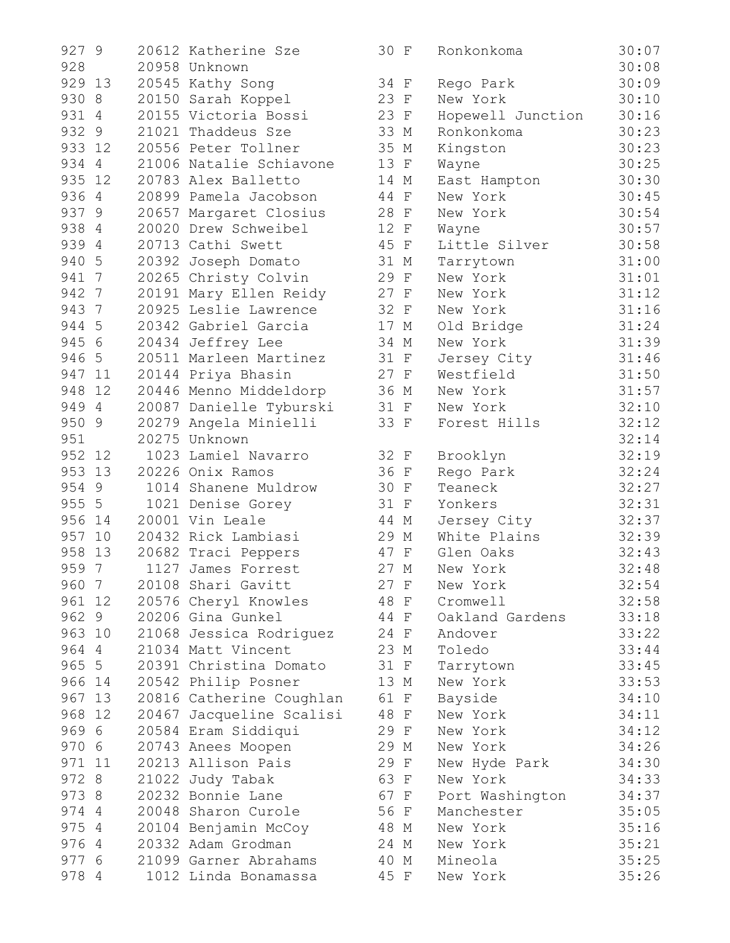|     | 927 9  | 20612 Katherine Sze      | 30 F | Ronkonkoma        | 30:07 |
|-----|--------|--------------------------|------|-------------------|-------|
| 928 |        | 20958 Unknown            |      |                   | 30:08 |
|     | 929 13 | 20545 Kathy Song         | 34 F | Rego Park         | 30:09 |
|     | 930 8  | 20150 Sarah Koppel       | 23 F | New York          | 30:10 |
|     | 931 4  | 20155 Victoria Bossi     | 23 F | Hopewell Junction | 30:16 |
|     | 932 9  | 21021 Thaddeus Sze       | 33 M | Ronkonkoma        | 30:23 |
|     | 933 12 | 20556 Peter Tollner      | 35 M | Kingston          | 30:23 |
|     | 934 4  | 21006 Natalie Schiavone  | 13 F | Wayne             | 30:25 |
|     | 935 12 | 20783 Alex Balletto      | 14 M | East Hampton      | 30:30 |
|     | 936 4  | 20899 Pamela Jacobson    | 44 F | New York          | 30:45 |
|     | 937 9  | 20657 Margaret Closius   | 28 F | New York          | 30:54 |
|     | 938 4  | 20020 Drew Schweibel     | 12 F | Wayne             | 30:57 |
|     | 939 4  | 20713 Cathi Swett        | 45 F | Little Silver     | 30:58 |
|     | 940 5  | 20392 Joseph Domato      | 31 M | Tarrytown         | 31:00 |
|     | 941 7  | 20265 Christy Colvin     | 29 F | New York          | 31:01 |
|     | 942 7  | 20191 Mary Ellen Reidy   | 27 F | New York          | 31:12 |
|     | 943 7  | 20925 Leslie Lawrence    | 32 F | New York          | 31:16 |
|     | 944 5  | 20342 Gabriel Garcia     | 17 M | Old Bridge        | 31:24 |
|     | 945 6  | 20434 Jeffrey Lee        | 34 M | New York          | 31:39 |
|     | 946 5  | 20511 Marleen Martinez   | 31 F | Jersey City       | 31:46 |
|     | 947 11 | 20144 Priya Bhasin       | 27 F | Westfield         | 31:50 |
|     | 948 12 | 20446 Menno Middeldorp   | 36 M | New York          | 31:57 |
|     | 949 4  | 20087 Danielle Tyburski  | 31 F | New York          | 32:10 |
|     | 950 9  | 20279 Angela Minielli    | 33 F | Forest Hills      | 32:12 |
| 951 |        | 20275 Unknown            |      |                   | 32:14 |
|     | 952 12 | 1023 Lamiel Navarro      | 32 F | Brooklyn          | 32:19 |
|     | 953 13 | 20226 Onix Ramos         | 36 F | Rego Park         | 32:24 |
|     | 954 9  | 1014 Shanene Muldrow     | 30 F | Teaneck           | 32:27 |
|     | 955 5  | 1021 Denise Gorey        | 31 F | Yonkers           | 32:31 |
|     | 956 14 | 20001 Vin Leale          | 44 M | Jersey City       | 32:37 |
|     | 957 10 | 20432 Rick Lambiasi      | 29 M | White Plains      | 32:39 |
| 958 | 13     | 20682 Traci Peppers      | 47 F | Glen Oaks         | 32:43 |
|     | 959 7  | 1127 James Forrest       | 27 M | New York          | 32:48 |
|     | 960 7  | 20108 Shari Gavitt       | 27 F | New York          | 32:54 |
|     | 961 12 | 20576 Cheryl Knowles     | 48 F | Cromwell          | 32:58 |
|     | 962 9  | 20206 Gina Gunkel        | 44 F | Oakland Gardens   | 33:18 |
|     | 963 10 | 21068 Jessica Rodriguez  | 24 F | Andover           | 33:22 |
|     | 964 4  | 21034 Matt Vincent       | 23 M | Toledo            | 33:44 |
|     | 965 5  | 20391 Christina Domato   | 31 F | Tarrytown         | 33:45 |
|     | 966 14 | 20542 Philip Posner      | 13 M | New York          | 33:53 |
|     | 967 13 | 20816 Catherine Coughlan | 61 F | Bayside           | 34:10 |
|     | 968 12 | 20467 Jacqueline Scalisi | 48 F | New York          | 34:11 |
|     | 969 6  | 20584 Eram Siddiqui      | 29 F | New York          | 34:12 |
|     | 970 6  | 20743 Anees Moopen       | 29 M | New York          | 34:26 |
|     | 971 11 | 20213 Allison Pais       | 29 F | New Hyde Park     | 34:30 |
|     | 972 8  | 21022 Judy Tabak         | 63 F | New York          | 34:33 |
|     | 973 8  | 20232 Bonnie Lane        | 67 F | Port Washington   | 34:37 |
|     | 974 4  | 20048 Sharon Curole      | 56 F | Manchester        | 35:05 |
|     | 975 4  | 20104 Benjamin McCoy     | 48 M | New York          | 35:16 |
|     | 976 4  | 20332 Adam Grodman       | 24 M | New York          | 35:21 |
|     | 977 6  | 21099 Garner Abrahams    | 40 M | Mineola           | 35:25 |
|     | 978 4  | 1012 Linda Bonamassa     | 45 F | New York          | 35:26 |
|     |        |                          |      |                   |       |

| 9279           |        | 20612 Katherine Sze                      | 30 F |      | Ronkonkoma        | 30:07          |
|----------------|--------|------------------------------------------|------|------|-------------------|----------------|
| 928            |        | 20958 Unknown                            |      |      |                   | 30:08          |
|                | 929 13 | 20545 Kathy Song                         | 34 F |      | Rego Park         | 30:09          |
| 930 8          |        | 20150 Sarah Koppel                       | 23 F |      | New York          | 30:10          |
|                | 931 4  | 20155 Victoria Bossi                     | 23 F |      | Hopewell Junction | 30:16          |
| 932 9          |        | 21021 Thaddeus Sze                       | 33 M |      | Ronkonkoma        | 30:23          |
|                | 933 12 | 20556 Peter Tollner                      | 35 M |      | Kingston          | 30:23          |
|                | 934 4  | 21006 Natalie Schiavone                  | 13 F |      | Wayne             | 30:25          |
|                | 935 12 | 20783 Alex Balletto                      | 14 M |      | East Hampton      | 30:30          |
|                | 936 4  | 20899 Pamela Jacobson                    | 44 F |      | New York          | 30:45          |
| 937 9          |        | 20657 Margaret Closius                   | 28 F |      | New York          | 30:54          |
| 938 4          |        | 20020 Drew Schweibel                     | 12 F |      | Wayne             | 30:57          |
| 939 4          |        | 20713 Cathi Swett                        |      | 45 F | Little Silver     | 30:58          |
| 940 5          |        | 20392 Joseph Domato                      | 31 M |      | Tarrytown         | 31:00          |
| 941 7          |        | 20265 Christy Colvin                     | 29 F |      | New York          | 31:01          |
| 942 7          |        | 20191 Mary Ellen Reidy                   | 27 F |      | New York          | 31:12          |
| 943 7          |        | 20925 Leslie Lawrence                    | 32 F |      | New York          | 31:16          |
| 944 5          |        | 20342 Gabriel Garcia                     | 17 M |      | Old Bridge        | 31:24          |
| 945 6          |        | 20434 Jeffrey Lee                        | 34 M |      | New York          | 31:39          |
|                | 946 5  | 20511 Marleen Martinez                   | 31 F |      | Jersey City       | 31:46          |
|                | 947 11 | 20144 Priya Bhasin                       |      | 27 F | Westfield         | 31:50          |
|                | 948 12 | 20446 Menno Middeldorp                   | 36 M |      | New York          | 31:57          |
|                | 949 4  | 20087 Danielle Tyburski                  | 31 F |      | New York          | 32:10          |
| 950 9          |        | 20279 Angela Minielli                    | 33 F |      | Forest Hills      | 32:12          |
| 951            |        | 20275 Unknown                            |      |      |                   | 32:14          |
|                | 952 12 | 1023 Lamiel Navarro                      | 32 F |      | Brooklyn          | 32:19          |
|                | 953 13 | 20226 Onix Ramos                         | 36 F |      | Rego Park         | 32:24          |
|                | 954 9  | 1014 Shanene Muldrow                     | 30 F |      | Teaneck           | 32:27          |
|                | 955 5  | 1021 Denise Gorey                        | 31 F |      | Yonkers           | 32:31          |
|                | 956 14 | 20001 Vin Leale                          | 44 M |      | Jersey City       | 32:37          |
|                | 957 10 | 20432 Rick Lambiasi                      | 29 M |      | White Plains      | 32:39          |
| 958            | 13     | 20682 Traci Peppers                      |      | 47 F | Glen Oaks         | 32:43          |
| 959 7          |        | 1127 James Forrest                       | 27 M |      | New York          | 32:48          |
|                | 960 7  | 20108 Shari Gavitt                       | 27 F |      | New York          | 32:54          |
|                | 961 12 | 20576 Cheryl Knowles                     | 48 F |      | Cromwell          | 32:58          |
|                | 962 9  | 20206 Gina Gunkel                        |      | 44 F | Oakland Gardens   | 33:18          |
|                | 963 10 | 21068 Jessica Rodriguez                  | 24 F |      | Andover           | 33:22          |
|                | 964 4  | 21034 Matt Vincent                       | 23 M |      | Toledo            | 33:44          |
|                | 965 5  | 20391 Christina Domato                   | 31 F |      | Tarrytown         | 33:45          |
|                | 966 14 | 20542 Philip Posner                      | 13 M |      | New York          | 33:53          |
|                | 967 13 | 20816 Catherine Coughlan                 | 61 F |      | Bayside           | 34:10          |
|                | 968 12 | 20467 Jacqueline Scalisi                 | 48 F |      | New York          | 34:11          |
|                | 969 6  | 20584 Eram Siddiqui                      | 29 F |      | New York          | 34:12          |
| 970 6          |        | 20743 Anees Moopen                       | 29 M |      | New York          | 34:26          |
|                | 971 11 | 20213 Allison Pais                       | 29 F |      | New Hyde Park     | 34:30          |
| 972 8          |        | 21022 Judy Tabak                         | 63 F |      | New York          | 34:33          |
|                |        |                                          | 67 F |      |                   |                |
| 973 8<br>974 4 |        | 20232 Bonnie Lane<br>20048 Sharon Curole | 56 F |      | Port Washington   | 34:37<br>35:05 |
|                |        |                                          |      |      | Manchester        |                |
| 975 4          |        | 20104 Benjamin McCoy                     | 48 M |      | New York          | 35:16          |
| 976 4          |        | 20332 Adam Grodman                       | 24 M |      | New York          | 35:21          |
| 977 6          |        | 21099 Garner Abrahams                    | 40 M |      | Mineola           | 35:25          |
| 978 4          |        | 1012 Linda Bonamassa                     | 45 F |      | New York          | 35:26          |